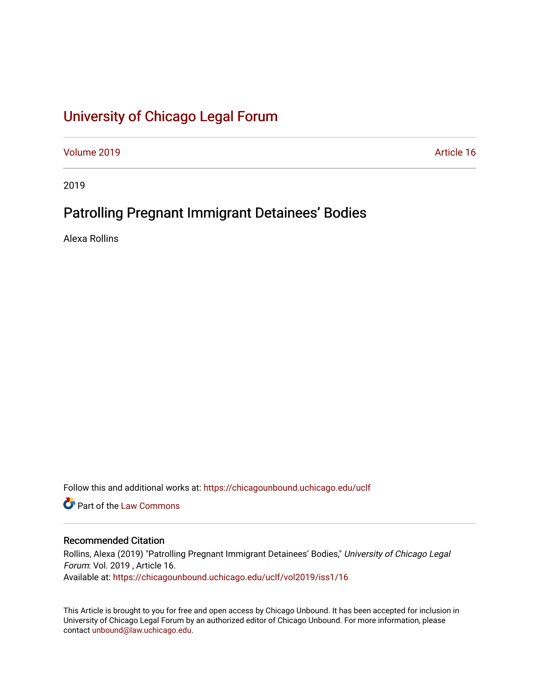# [University of Chicago Legal Forum](https://chicagounbound.uchicago.edu/uclf)

[Volume 2019](https://chicagounbound.uchicago.edu/uclf/vol2019) [Article 16](https://chicagounbound.uchicago.edu/uclf/vol2019/iss1/16) 

2019

# Patrolling Pregnant Immigrant Detainees' Bodies

Alexa Rollins

Follow this and additional works at: [https://chicagounbound.uchicago.edu/uclf](https://chicagounbound.uchicago.edu/uclf?utm_source=chicagounbound.uchicago.edu%2Fuclf%2Fvol2019%2Fiss1%2F16&utm_medium=PDF&utm_campaign=PDFCoverPages) 

**C** Part of the [Law Commons](http://network.bepress.com/hgg/discipline/578?utm_source=chicagounbound.uchicago.edu%2Fuclf%2Fvol2019%2Fiss1%2F16&utm_medium=PDF&utm_campaign=PDFCoverPages)

## Recommended Citation

Rollins, Alexa (2019) "Patrolling Pregnant Immigrant Detainees' Bodies," University of Chicago Legal Forum: Vol. 2019 , Article 16. Available at: [https://chicagounbound.uchicago.edu/uclf/vol2019/iss1/16](https://chicagounbound.uchicago.edu/uclf/vol2019/iss1/16?utm_source=chicagounbound.uchicago.edu%2Fuclf%2Fvol2019%2Fiss1%2F16&utm_medium=PDF&utm_campaign=PDFCoverPages)

This Article is brought to you for free and open access by Chicago Unbound. It has been accepted for inclusion in University of Chicago Legal Forum by an authorized editor of Chicago Unbound. For more information, please contact [unbound@law.uchicago.edu](mailto:unbound@law.uchicago.edu).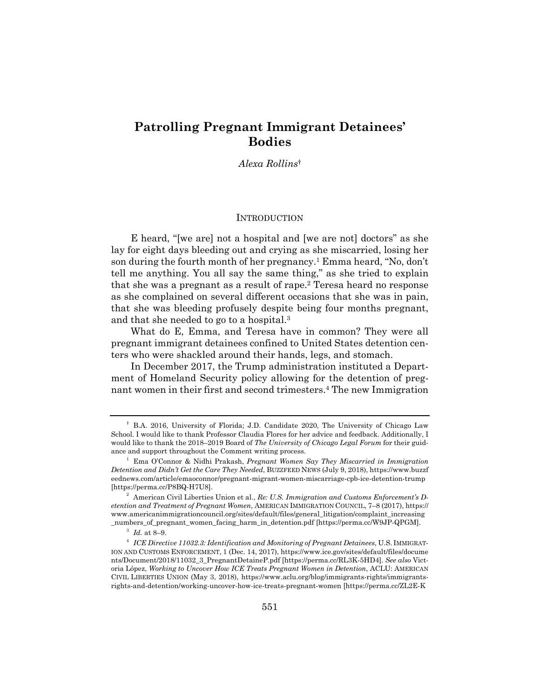## **Patrolling Pregnant Immigrant Detainees' Bodies**

*Alexa Rollins*†

#### **INTRODUCTION**

E heard, "[we are] not a hospital and [we are not] doctors" as she lay for eight days bleeding out and crying as she miscarried, losing her son during the fourth month of her pregnancy.<sup>1</sup> Emma heard, "No, don't tell me anything. You all say the same thing," as she tried to explain that she was a pregnant as a result of rape.<sup>2</sup> Teresa heard no response as she complained on several different occasions that she was in pain, that she was bleeding profusely despite being four months pregnant, and that she needed to go to a hospital.3

What do E, Emma, and Teresa have in common? They were all pregnant immigrant detainees confined to United States detention centers who were shackled around their hands, legs, and stomach.

In December 2017, the Trump administration instituted a Department of Homeland Security policy allowing for the detention of pregnant women in their first and second trimesters.4 The new Immigration

<sup>†</sup> B.A. 2016, University of Florida; J.D. Candidate 2020, The University of Chicago Law School. I would like to thank Professor Claudia Flores for her advice and feedback. Additionally, I would like to thank the 2018–2019 Board of *The University of Chicago Legal Forum* for their guidance and support throughout the Comment writing process. 1

Ema O'Connor & Nidhi Prakash, *Pregnant Women Say They Miscarried in Immigration Detention and Didn't Get the Care They Needed*, BUZZFEED NEWS (July 9, 2018), https://www.buzzf eednews.com/article/emaoconnor/pregnant-migrant-women-miscarriage-cpb-ice-detention-trump [https://perma.cc/P8BQ-H7U8]. 2

<sup>&</sup>lt;sup>2</sup> American Civil Liberties Union et al., *Re: U.S. Immigration and Customs Enforcement's Detention and Treatment of Pregnant Women*, AMERICAN IMMIGRATION COUNCIL, 7–8 (2017), https:// www.americanimmigrationcouncil.org/sites/default/files/general\_litigation/complaint\_increasing \_numbers\_of\_pregnant\_women\_facing\_harm\_in\_detention.pdf [https://perma.cc/W9JP-QPGM]. 3

 $3$  Id. at 8-9.

*ICE Directive 11032.3: Identification and Monitoring of Pregnant Detainees*, U.S. IMMIGRAT-ION AND CUSTOMS ENFORCEMENT, 1 (Dec. 14, 2017), https://www.ice.gov/sites/default/files/docume nts/Document/2018/11032\_3\_PregnantDetaineP.pdf [https://perma.cc/RL3K-5HD4]. *See also* Victoria López, *Working to Uncover How ICE Treats Pregnant Women in Detention*, ACLU: AMERICAN CIVIL LIBERTIES UNION (May 3, 2018), https://www.aclu.org/blog/immigrants-rights/immigrantsrights-and-detention/working-uncover-how-ice-treats-pregnant-women [https://perma.cc/ZL2E-K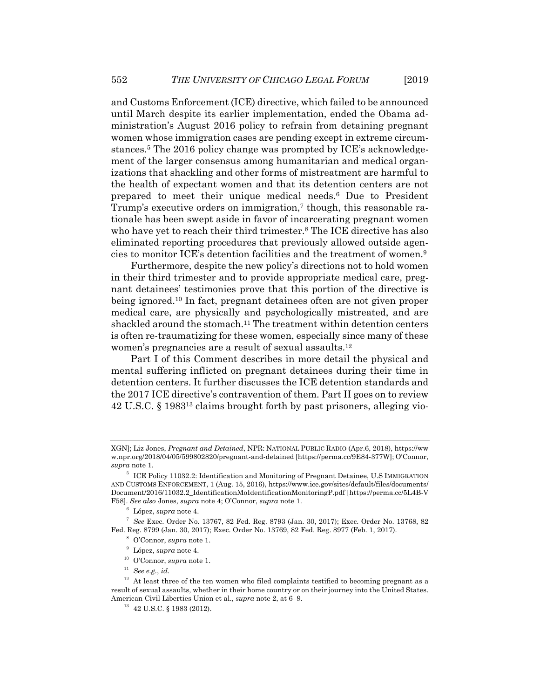and Customs Enforcement (ICE) directive, which failed to be announced until March despite its earlier implementation, ended the Obama administration's August 2016 policy to refrain from detaining pregnant women whose immigration cases are pending except in extreme circumstances.5 The 2016 policy change was prompted by ICE's acknowledgement of the larger consensus among humanitarian and medical organizations that shackling and other forms of mistreatment are harmful to the health of expectant women and that its detention centers are not prepared to meet their unique medical needs.6 Due to President Trump's executive orders on immigration,<sup>7</sup> though, this reasonable rationale has been swept aside in favor of incarcerating pregnant women who have yet to reach their third trimester.<sup>8</sup> The ICE directive has also eliminated reporting procedures that previously allowed outside agencies to monitor ICE's detention facilities and the treatment of women.9

Furthermore, despite the new policy's directions not to hold women in their third trimester and to provide appropriate medical care, pregnant detainees' testimonies prove that this portion of the directive is being ignored.10 In fact, pregnant detainees often are not given proper medical care, are physically and psychologically mistreated, and are shackled around the stomach.<sup>11</sup> The treatment within detention centers is often re-traumatizing for these women, especially since many of these women's pregnancies are a result of sexual assaults.12

Part I of this Comment describes in more detail the physical and mental suffering inflicted on pregnant detainees during their time in detention centers. It further discusses the ICE detention standards and the 2017 ICE directive's contravention of them. Part II goes on to review 42 U.S.C. § 198313 claims brought forth by past prisoners, alleging vio-

XGN]; Liz Jones, *Pregnant and Detained*, NPR: NATIONAL PUBLIC RADIO (Apr.6, 2018), https://ww w.npr.org/2018/04/05/599802820/pregnant-and-detained [https://perma.cc/9E84-377W]; O'Connor, *supra* note 1.

<sup>5</sup> ICE Policy 11032.2: Identification and Monitoring of Pregnant Detainee, U.S IMMIGRATION AND CUSTOMS ENFORCEMENT, 1 (Aug. 15, 2016), https://www.ice.gov/sites/default/files/documents/ Document/2016/11032.2\_IdentificationMoIdentificationMonitoringP.pdf [https://perma.cc/5L4B-V F58]. *See also* Jones, *supra* note 4; O'Connor, *supra* note 1. 6

<sup>&</sup>lt;sup>s</sup> López, *supra* note 4.<br><sup>7</sup> *See* Exec. Order No. 13767, 82 Fed. Reg. 8793 (Jan. 30, 2017); Exec. Order No. 13768, 82 Fed. Reg. 8799 (Jan. 30, 2017); Exec. Order No. 13769, 82 Fed. Reg. 8977 (Feb. 1, 2017). 8

<sup>&</sup>lt;sup>8</sup> O'Connor, *supra* note 1.<br><sup>9</sup> López, *supra* note 4.

<sup>&</sup>lt;sup>10</sup> O'Connor, *supra* note 1.<br><sup>11</sup> See *e.g.*, *id.* 

 $12$  At least three of the ten women who filed complaints testified to becoming pregnant as a result of sexual assaults, whether in their home country or on their journey into the United States. American Civil Liberties Union et al., *supra* note 2, at 6–9.<br><sup>13</sup> 42 U.S.C. § 1983 (2012).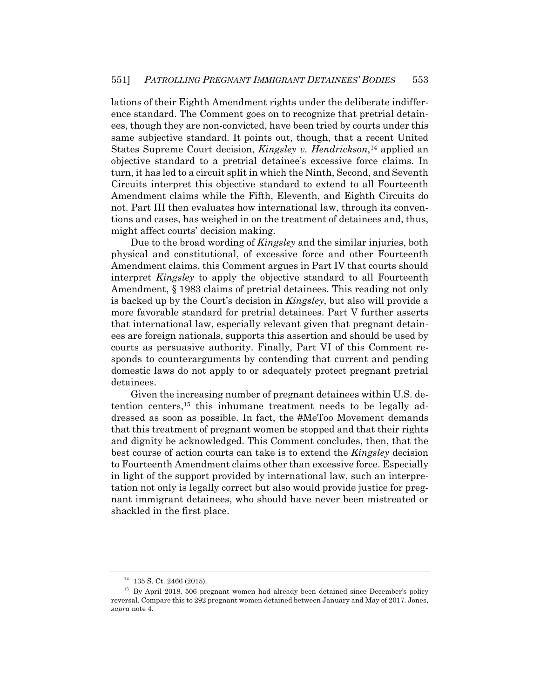lations of their Eighth Amendment rights under the deliberate indifference standard. The Comment goes on to recognize that pretrial detainees, though they are non-convicted, have been tried by courts under this same subjective standard. It points out, though, that a recent United States Supreme Court decision, *Kingsley v. Hendrickson*,14 applied an objective standard to a pretrial detainee's excessive force claims. In turn, it has led to a circuit split in which the Ninth, Second, and Seventh Circuits interpret this objective standard to extend to all Fourteenth Amendment claims while the Fifth, Eleventh, and Eighth Circuits do not. Part III then evaluates how international law, through its conventions and cases, has weighed in on the treatment of detainees and, thus, might affect courts' decision making.

Due to the broad wording of *Kingsley* and the similar injuries, both physical and constitutional, of excessive force and other Fourteenth Amendment claims, this Comment argues in Part IV that courts should interpret *Kingsley* to apply the objective standard to all Fourteenth Amendment, § 1983 claims of pretrial detainees. This reading not only is backed up by the Court's decision in *Kingsley*, but also will provide a more favorable standard for pretrial detainees. Part V further asserts that international law, especially relevant given that pregnant detainees are foreign nationals, supports this assertion and should be used by courts as persuasive authority. Finally, Part VI of this Comment responds to counterarguments by contending that current and pending domestic laws do not apply to or adequately protect pregnant pretrial detainees.

Given the increasing number of pregnant detainees within U.S. detention centers,15 this inhumane treatment needs to be legally addressed as soon as possible. In fact, the #MeToo Movement demands that this treatment of pregnant women be stopped and that their rights and dignity be acknowledged. This Comment concludes, then, that the best course of action courts can take is to extend the *Kingsley* decision to Fourteenth Amendment claims other than excessive force. Especially in light of the support provided by international law, such an interpretation not only is legally correct but also would provide justice for pregnant immigrant detainees, who should have never been mistreated or shackled in the first place.

 $14$  135 S. Ct. 2466 (2015).

<sup>&</sup>lt;sup>15</sup> By April 2018, 506 pregnant women had already been detained since December's policy reversal. Compare this to 292 pregnant women detained between January and May of 2017. Jones, *supra* note 4.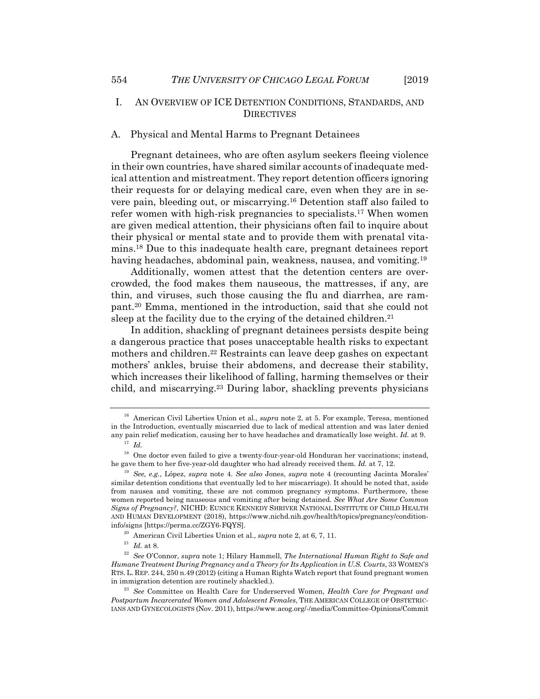### I. AN OVERVIEW OF ICE DETENTION CONDITIONS, STANDARDS, AND **DIRECTIVES**

#### A. Physical and Mental Harms to Pregnant Detainees

Pregnant detainees, who are often asylum seekers fleeing violence in their own countries, have shared similar accounts of inadequate medical attention and mistreatment. They report detention officers ignoring their requests for or delaying medical care, even when they are in severe pain, bleeding out, or miscarrying.16 Detention staff also failed to refer women with high-risk pregnancies to specialists.17 When women are given medical attention, their physicians often fail to inquire about their physical or mental state and to provide them with prenatal vitamins.18 Due to this inadequate health care, pregnant detainees report having headaches, abdominal pain, weakness, nausea, and vomiting.<sup>19</sup>

Additionally, women attest that the detention centers are overcrowded, the food makes them nauseous, the mattresses, if any, are thin, and viruses, such those causing the flu and diarrhea, are rampant.20 Emma, mentioned in the introduction, said that she could not sleep at the facility due to the crying of the detained children.<sup>21</sup>

In addition, shackling of pregnant detainees persists despite being a dangerous practice that poses unacceptable health risks to expectant mothers and children.<sup>22</sup> Restraints can leave deep gashes on expectant mothers' ankles, bruise their abdomens, and decrease their stability, which increases their likelihood of falling, harming themselves or their child, and miscarrying.23 During labor, shackling prevents physicians

<sup>&</sup>lt;sup>16</sup> American Civil Liberties Union et al., *supra* note 2, at 5. For example, Teresa, mentioned in the Introduction, eventually miscarried due to lack of medical attention and was later denied any pain relief medication, causing her to have headaches and dramatically lose weight. *Id.* at 9. 17 *Id.*

<sup>&</sup>lt;sup>18</sup> One doctor even failed to give a twenty-four-year-old Honduran her vaccinations; instead, he gave them to her five-year-old daughter who had already received them. *Id.* at 7, 12.

 $^{19}$  See, e.g., López, supra note 4. See also Jones, supra note 4 (recounting Jacinta Morales' similar detention conditions that eventually led to her miscarriage). It should be noted that, aside from nausea and vomiting, these are not common pregnancy symptoms. Furthermore, these women reported being nauseous and vomiting after being detained. *See What Are Some Common Signs of Pregnancy?*, NICHD: EUNICE KENNEDY SHRIVER NATIONAL INSTITUTE OF CHILD HEALTH AND HUMAN DEVELOPMENT (2018), https://www.nichd.nih.gov/health/topics/pregnancy/condition-

info/signs [https://perma.cc/ZGY6-FQYS].<br><sup>20</sup> American Civil Liberties Union et al., *supra* note 2, at 6, 7, 11.<br><sup>21</sup> Id. at 8.<br><sup>22</sup> See O'Connor, *supra* note 1; Hilary Hammell, *The International Human Right to Safe an Humane Treatment During Pregnancy and a Theory for Its Application in U.S. Courts*, 33 WOMEN'S RTS. L. REP. 244, 250 n.49 (2012) (citing a Human Rights Watch report that found pregnant women in immigration detention are routinely shackled.). 23 *See* Committee on Health Care for Underserved Women, *Health Care for Pregnant and* 

*Postpartum Incarcerated Women and Adolescent Females*, THE AMERICAN COLLEGE OF OBSTETRIC-IANS AND GYNECOLOGISTS (Nov. 2011), https://www.acog.org/-/media/Committee-Opinions/Commit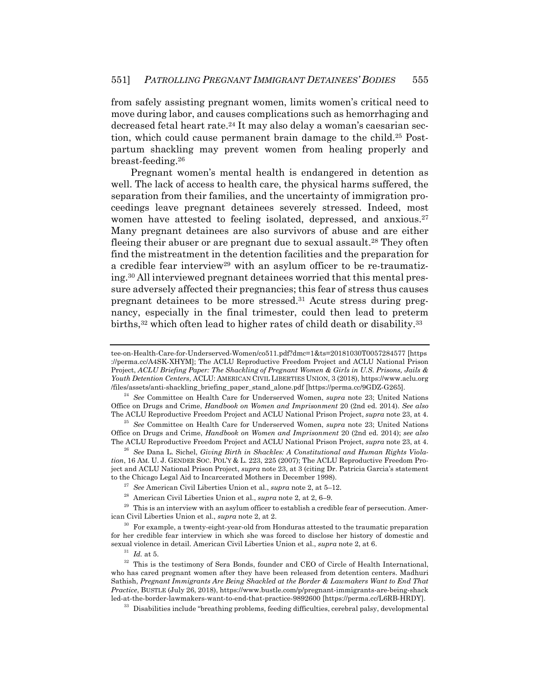from safely assisting pregnant women, limits women's critical need to move during labor, and causes complications such as hemorrhaging and decreased fetal heart rate.<sup>24</sup> It may also delay a woman's caesarian section, which could cause permanent brain damage to the child.25 Postpartum shackling may prevent women from healing properly and breast-feeding.26

Pregnant women's mental health is endangered in detention as well. The lack of access to health care, the physical harms suffered, the separation from their families, and the uncertainty of immigration proceedings leave pregnant detainees severely stressed. Indeed, most women have attested to feeling isolated, depressed, and anxious.<sup>27</sup> Many pregnant detainees are also survivors of abuse and are either fleeing their abuser or are pregnant due to sexual assault.<sup>28</sup> They often find the mistreatment in the detention facilities and the preparation for a credible fear interview<sup>29</sup> with an asylum officer to be re-traumatizing.30 All interviewed pregnant detainees worried that this mental pressure adversely affected their pregnancies; this fear of stress thus causes pregnant detainees to be more stressed.31 Acute stress during pregnancy, especially in the final trimester, could then lead to preterm births,<sup>32</sup> which often lead to higher rates of child death or disability.<sup>33</sup>

tee-on-Health-Care-for-Underserved-Women/co511.pdf?dmc=1&ts=20181030T0057284577 [https ://perma.cc/A4SK-XHYM]; The ACLU Reproductive Freedom Project and ACLU National Prison Project, *ACLU Briefing Paper: The Shackling of Pregnant Women & Girls in U.S. Prisons, Jails & Youth Detention Centers*, ACLU: AMERICAN CIVIL LIBERTIES UNION, 3 (2018), https://www.aclu.org /files/assets/anti-shackling\_briefing\_paper\_stand\_alone.pdf [https://perma.cc/9GDZ-G265]. 24 *See* Committee on Health Care for Underserved Women, *supra* note 23; United Nations

Office on Drugs and Crime, *Handbook on Women and Imprisonment* 20 (2nd ed. 2014). *See also*

The ACLU Reproductive Freedom Project and ACLU National Prison Project, *supra* note 23, at 4. 25 *See* Committee on Health Care for Underserved Women, *supra* note 23; United Nations Office on Drugs and Crime, *Handbook on Women and Imprisonment* 20 (2nd ed. 2014); *see also* The ACLU Reproductive Freedom Project and ACLU National Prison Project, *supra* note 23, at 4.<br><sup>26</sup> See Dana L. Sichel, *Giving Birth in Shackles: A Constitutional and Human Rights Viola-*

*tion*, 16 AM. U. J. GENDER SOC. POL'Y & L. 223, 225 (2007); The ACLU Reproductive Freedom Project and ACLU National Prison Project, *supra* note 23, at 3 (citing Dr. Patricia Garcia's statement to the Chicago Legal Aid to Incarcerated Mothers in December 1998).<br><sup>27</sup> *See* American Civil Liberties Union et al., *supra* note 2, at 5–12.<br><sup>28</sup> American Civil Liberties Union et al., *supra* note 2, at 2, 6–9.<br><sup>29</sup> Th

ican Civil Liberties Union et al., *supra* note 2, at 2.<br><sup>30</sup> For example, a twenty-eight-year-old from Honduras attested to the traumatic preparation

for her credible fear interview in which she was forced to disclose her history of domestic and sexual violence in detail. American Civil Liberties Union et al., *supra* note 2, at 6.

<sup>&</sup>lt;sup>31</sup> Id. at 5. <sup>32</sup> This is the testimony of Sera Bonds, founder and CEO of Circle of Health International, who has cared pregnant women after they have been released from detention centers. Madhuri Sathish, *Pregnant Immigrants Are Being Shackled at the Border & Lawmakers Want to End That Practice*, BUSTLE (July 26, 2018), https://www.bustle.com/p/pregnant-immigrants-are-being-shack led-at-the-border-lawmakers-want-to-end-that-practice-9892600 [https://perma.cc/L6RB-HRDY]. 33 Disabilities include "breathing problems, feeding difficulties, cerebral palsy, developmental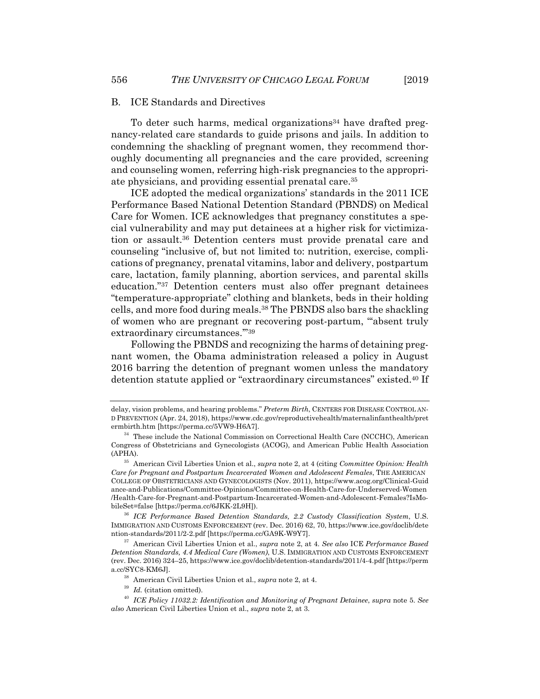#### B. ICE Standards and Directives

To deter such harms, medical organizations<sup>34</sup> have drafted pregnancy-related care standards to guide prisons and jails. In addition to condemning the shackling of pregnant women, they recommend thoroughly documenting all pregnancies and the care provided, screening and counseling women, referring high-risk pregnancies to the appropriate physicians, and providing essential prenatal care.35

ICE adopted the medical organizations' standards in the 2011 ICE Performance Based National Detention Standard (PBNDS) on Medical Care for Women. ICE acknowledges that pregnancy constitutes a special vulnerability and may put detainees at a higher risk for victimization or assault.36 Detention centers must provide prenatal care and counseling "inclusive of, but not limited to: nutrition, exercise, complications of pregnancy, prenatal vitamins, labor and delivery, postpartum care, lactation, family planning, abortion services, and parental skills education."37 Detention centers must also offer pregnant detainees "temperature-appropriate" clothing and blankets, beds in their holding cells, and more food during meals.38 The PBNDS also bars the shackling of women who are pregnant or recovering post-partum, "'absent truly extraordinary circumstances.'"39

Following the PBNDS and recognizing the harms of detaining pregnant women, the Obama administration released a policy in August 2016 barring the detention of pregnant women unless the mandatory detention statute applied or "extraordinary circumstances" existed.40 If

delay, vision problems, and hearing problems." *Preterm Birth*, CENTERS FOR DISEASE CONTROL AN-D PREVENTION (Apr. 24, 2018), https://www.cdc.gov/reproductivehealth/maternalinfanthealth/pret

 $^{34}\,$  These include the National Commission on Correctional Health Care (NCCHC), American Congress of Obstetricians and Gynecologists (ACOG), and American Public Health Association (APHA). 35 American Civil Liberties Union et al., *supra* note 2, at 4 (citing *Committee Opinion: Health* 

*Care for Pregnant and Postpartum Incarcerated Women and Adolescent Females*, THE AMERICAN COLLEGE OF OBSTETRICIANS AND GYNECOLOGISTS (Nov. 2011), https://www.acog.org/Clinical-Guid ance-and-Publications/Committee-Opinions/Committee-on-Health-Care-for-Underserved-Women /Health-Care-for-Pregnant-and-Postpartum-Incarcerated-Women-and-Adolescent-Females?IsMobileSet=false [https://perma.cc/6JKK-2L9H]). 36 *ICE Performance Based Detention Standards, 2.2 Custody Classification System*, U.S.

IMMIGRATION AND CUSTOMS ENFORCEMENT (rev. Dec. 2016) 62, 70, https://www.ice.gov/doclib/dete ntion-standards/2011/2-2.pdf [https://perma.cc/GA9K-W9Y7]. 37 American Civil Liberties Union et al., *supra* note 2, at 4. *See also* ICE *Performance Based* 

*Detention Standards, 4.4 Medical Care (Women)*, U.S. IMMIGRATION AND CUSTOMS ENFORCEMENT (rev. Dec. 2016) 324–25, https://www.ice.gov/doclib/detention-standards/2011/4-4.pdf [https://perm a.cc/SYC8-KM6J].<br><sup>38</sup> American Civil Liberties Union et al., *supra* note 2, at 4.<br><sup>39</sup> Id. (citation omitted).<br><sup>40</sup> ICE Policy 11032.2: Identification and Monitoring of Pregnant Detainee, supra note 5. See

*also* American Civil Liberties Union et al., *supra* note 2, at 3.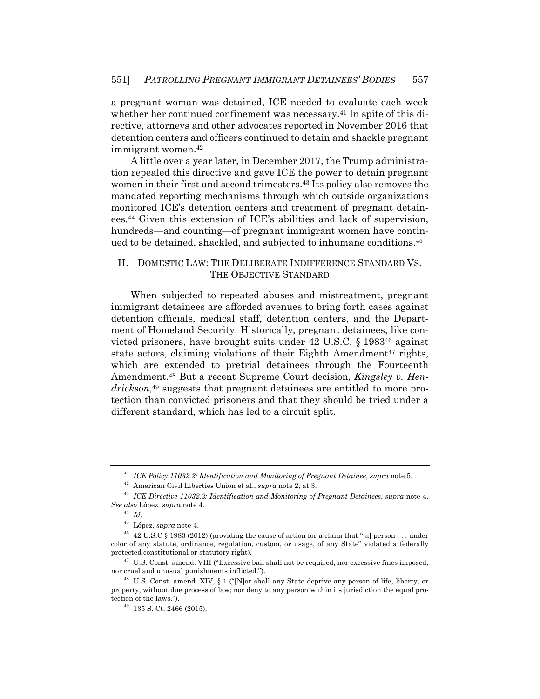a pregnant woman was detained, ICE needed to evaluate each week whether her continued confinement was necessary.<sup>41</sup> In spite of this directive, attorneys and other advocates reported in November 2016 that detention centers and officers continued to detain and shackle pregnant immigrant women.42

A little over a year later, in December 2017, the Trump administration repealed this directive and gave ICE the power to detain pregnant women in their first and second trimesters.<sup>43</sup> Its policy also removes the mandated reporting mechanisms through which outside organizations monitored ICE's detention centers and treatment of pregnant detainees.44 Given this extension of ICE's abilities and lack of supervision, hundreds—and counting—of pregnant immigrant women have continued to be detained, shackled, and subjected to inhumane conditions.45

## II. DOMESTIC LAW: THE DELIBERATE INDIFFERENCE STANDARD VS. THE OBJECTIVE STANDARD

When subjected to repeated abuses and mistreatment, pregnant immigrant detainees are afforded avenues to bring forth cases against detention officials, medical staff, detention centers, and the Department of Homeland Security. Historically, pregnant detainees, like convicted prisoners, have brought suits under 42 U.S.C. § 198346 against state actors, claiming violations of their Eighth Amendment<sup>47</sup> rights, which are extended to pretrial detainees through the Fourteenth Amendment.48 But a recent Supreme Court decision, *Kingsley v. Hendrickson*,49 suggests that pregnant detainees are entitled to more protection than convicted prisoners and that they should be tried under a different standard, which has led to a circuit split.

<sup>&</sup>lt;sup>41</sup> ICE Policy 11032.2: Identification and Monitoring of Pregnant Detainee, supra note 5.<br><sup>42</sup> American Civil Liberties Union et al., *supra* note 2, at 3.<br><sup>43</sup> ICE Directive 11032.3: Identification and Monitoring of Pre

*See also* López, *supra* note 4. 44 *Id.*

 $^{45}$  López,  ${supra}$  note 4.  $^{46}$  42 U.S.C § 1983 (2012) (providing the cause of action for a claim that "[a] person . . . under color of any statute, ordinance, regulation, custom, or usage, of any State" violated a federally protected constitutional or statutory right).

 $^{47}\,$  U.S. Const. amend. VIII ("Excessive bail shall not be required, nor excessive fines imposed, nor cruel and unusual punishments inflicted.").<br><sup>48</sup> U.S. Const. amend. XIV, § 1 ("[N]or shall any State deprive any person of life, liberty, or

property, without due process of law; nor deny to any person within its jurisdiction the equal protection of the laws.").<br> $^{49}$  135 S. Ct. 2466 (2015).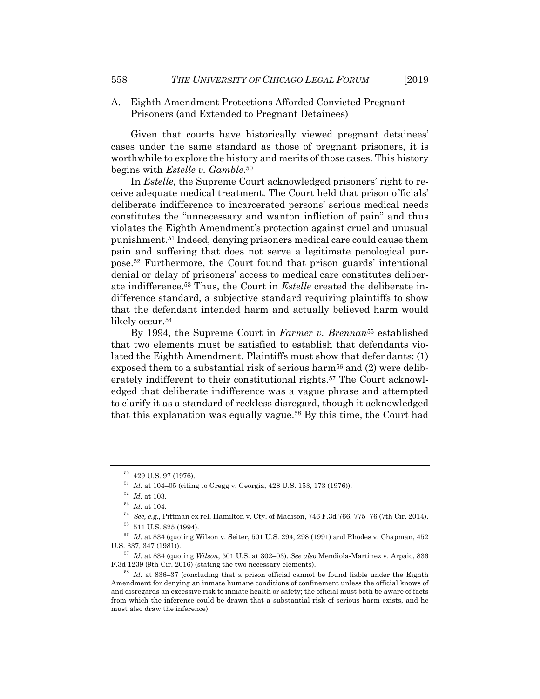A. Eighth Amendment Protections Afforded Convicted Pregnant Prisoners (and Extended to Pregnant Detainees)

Given that courts have historically viewed pregnant detainees' cases under the same standard as those of pregnant prisoners, it is worthwhile to explore the history and merits of those cases. This history begins with *Estelle v. Gamble*.50

In *Estelle*, the Supreme Court acknowledged prisoners' right to receive adequate medical treatment. The Court held that prison officials' deliberate indifference to incarcerated persons' serious medical needs constitutes the "unnecessary and wanton infliction of pain" and thus violates the Eighth Amendment's protection against cruel and unusual punishment.51 Indeed, denying prisoners medical care could cause them pain and suffering that does not serve a legitimate penological purpose.52 Furthermore, the Court found that prison guards' intentional denial or delay of prisoners' access to medical care constitutes deliberate indifference.53 Thus, the Court in *Estelle* created the deliberate indifference standard, a subjective standard requiring plaintiffs to show that the defendant intended harm and actually believed harm would likely occur.<sup>54</sup>

By 1994, the Supreme Court in *Farmer v. Brennan*55 established that two elements must be satisfied to establish that defendants violated the Eighth Amendment. Plaintiffs must show that defendants: (1) exposed them to a substantial risk of serious harm<sup>56</sup> and  $(2)$  were deliberately indifferent to their constitutional rights.57 The Court acknowledged that deliberate indifference was a vague phrase and attempted to clarify it as a standard of reckless disregard, though it acknowledged that this explanation was equally vague.58 By this time, the Court had

<sup>50 429</sup> U.S. 97 (1976).

<sup>&</sup>lt;sup>51</sup> *Id.* at 104–05 (citing to Gregg v. Georgia, 428 U.S. 153, 173 (1976)).<br><sup>52</sup> *Id.* at 103.<br><sup>53</sup> *Id.* at 104.<br><sup>54</sup> *See, e.g.*, Pittman ex rel. Hamilton v. Cty. of Madison, 746 F.3d 766, 775–76 (7th Cir. 2014).<br><sup>55</sup>

<sup>&</sup>lt;sup>56</sup> *Id.* at 834 (quoting Wilson v. Seiter, 501 U.S. 294, 298 (1991) and Rhodes v. Chapman, 452 U.S. 337, 347 (1981)).

<sup>&</sup>lt;sup>57</sup> Id. at 834 (quoting *Wilson*, 501 U.S. at 302–03). *See also* Mendiola-Martinez v. Arpaio, 836 F.3d 1239 (9th Cir. 2016) (stating the two necessary elements).

Id. at 836–37 (concluding that a prison official cannot be found liable under the Eighth Amendment for denying an inmate humane conditions of confinement unless the official knows of and disregards an excessive risk to inmate health or safety; the official must both be aware of facts from which the inference could be drawn that a substantial risk of serious harm exists, and he must also draw the inference).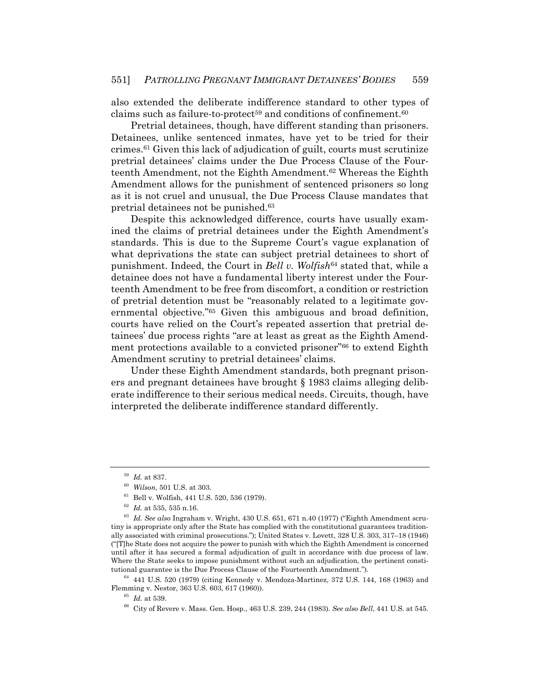also extended the deliberate indifference standard to other types of claims such as failure-to-protect<sup>59</sup> and conditions of confinement.<sup>60</sup>

Pretrial detainees, though, have different standing than prisoners. Detainees, unlike sentenced inmates, have yet to be tried for their crimes.61 Given this lack of adjudication of guilt, courts must scrutinize pretrial detainees' claims under the Due Process Clause of the Fourteenth Amendment, not the Eighth Amendment.62 Whereas the Eighth Amendment allows for the punishment of sentenced prisoners so long as it is not cruel and unusual, the Due Process Clause mandates that pretrial detainees not be punished.63

Despite this acknowledged difference, courts have usually examined the claims of pretrial detainees under the Eighth Amendment's standards. This is due to the Supreme Court's vague explanation of what deprivations the state can subject pretrial detainees to short of punishment. Indeed, the Court in *Bell v. Wolfish*64 stated that, while a detainee does not have a fundamental liberty interest under the Fourteenth Amendment to be free from discomfort, a condition or restriction of pretrial detention must be "reasonably related to a legitimate governmental objective."65 Given this ambiguous and broad definition, courts have relied on the Court's repeated assertion that pretrial detainees' due process rights "are at least as great as the Eighth Amendment protections available to a convicted prisoner"<sup>66</sup> to extend Eighth Amendment scrutiny to pretrial detainees' claims.

Under these Eighth Amendment standards, both pregnant prisoners and pregnant detainees have brought § 1983 claims alleging deliberate indifference to their serious medical needs. Circuits, though, have interpreted the deliberate indifference standard differently.

<sup>59</sup> *Id.* at 837. 60 *Wilson*, 501 U.S. at 303. 61 Bell v. Wolfish, 441 U.S. 520, 536 (1979).

<sup>62</sup> *Id.* at 535, 535 n.16. 63 *Id. See also* Ingraham v. Wright, 430 U.S. 651, 671 n.40 (1977) ("Eighth Amendment scrutiny is appropriate only after the State has complied with the constitutional guarantees traditionally associated with criminal prosecutions."); United States v. Lovett, 328 U.S. 303, 317–18 (1946) ("[T]he State does not acquire the power to punish with which the Eighth Amendment is concerned until after it has secured a formal adjudication of guilt in accordance with due process of law. Where the State seeks to impose punishment without such an adjudication, the pertinent consti-

tutional guarantee is the Due Process Clause of the Fourteenth Amendment.").<br><sup>64</sup> 441 U.S. 520 (1979) (citing Kennedy v. Mendoza-Martinez, 372 U.S. 144, 168 (1963) and<br>Flemming v. Nestor, 363 U.S. 603, 617 (1960)).

Flemming v. Nestor, 363 U.S. 603, 617 (1960)). 65 *Id.* at 539. 66 City of Revere v. Mass. Gen. Hosp., 463 U.S. 239, 244 (1983). *See also Bell*, 441 U.S. at 545.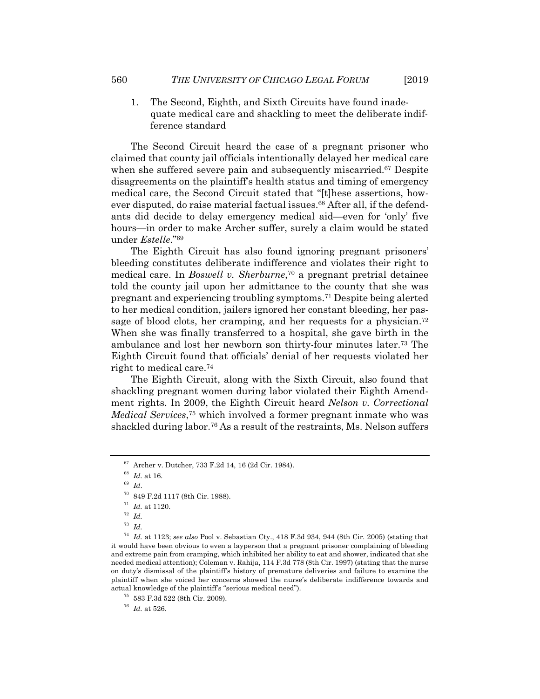1. The Second, Eighth, and Sixth Circuits have found inadequate medical care and shackling to meet the deliberate indifference standard

The Second Circuit heard the case of a pregnant prisoner who claimed that county jail officials intentionally delayed her medical care when she suffered severe pain and subsequently miscarried.<sup>67</sup> Despite disagreements on the plaintiff's health status and timing of emergency medical care, the Second Circuit stated that "[t]hese assertions, however disputed, do raise material factual issues.<sup>68</sup> After all, if the defendants did decide to delay emergency medical aid—even for 'only' five hours—in order to make Archer suffer, surely a claim would be stated under *Estelle*."69

The Eighth Circuit has also found ignoring pregnant prisoners' bleeding constitutes deliberate indifference and violates their right to medical care. In *Boswell v. Sherburne*,70 a pregnant pretrial detainee told the county jail upon her admittance to the county that she was pregnant and experiencing troubling symptoms.71 Despite being alerted to her medical condition, jailers ignored her constant bleeding, her passage of blood clots, her cramping, and her requests for a physician.<sup>72</sup> When she was finally transferred to a hospital, she gave birth in the ambulance and lost her newborn son thirty-four minutes later.73 The Eighth Circuit found that officials' denial of her requests violated her right to medical care.74

The Eighth Circuit, along with the Sixth Circuit, also found that shackling pregnant women during labor violated their Eighth Amendment rights. In 2009, the Eighth Circuit heard *Nelson v. Correctional Medical Services*,75 which involved a former pregnant inmate who was shackled during labor.<sup>76</sup> As a result of the restraints, Ms. Nelson suffers

 $^{67}$  Archer v. Dutcher, 733 F.2d 14, 16 (2d Cir. 1984).  $^{68}$   $\, Id.$  at 16.

<sup>&</sup>lt;sup>69</sup> Id.<br><sup>70</sup> 849 F.2d 1117 (8th Cir. 1988).

 $\frac{71}{72}$  *Id.* at 1120.<br> $\frac{72}{1}$  *Id.* 

<sup>73</sup> *Id.*

<sup>74</sup> *Id.* at 1123; *see also* Pool v. Sebastian Cty., 418 F.3d 934, 944 (8th Cir. 2005) (stating that it would have been obvious to even a layperson that a pregnant prisoner complaining of bleeding and extreme pain from cramping, which inhibited her ability to eat and shower, indicated that she needed medical attention); Coleman v. Rahija, 114 F.3d 778 (8th Cir. 1997) (stating that the nurse on duty's dismissal of the plaintiff's history of premature deliveries and failure to examine the plaintiff when she voiced her concerns showed the nurse's deliberate indifference towards and actual knowledge of the plaintiff's "serious medical need").<br> $^{75}$  583 F.3d 522 (8th Cir. 2009).

<sup>76</sup> *Id.* at 526.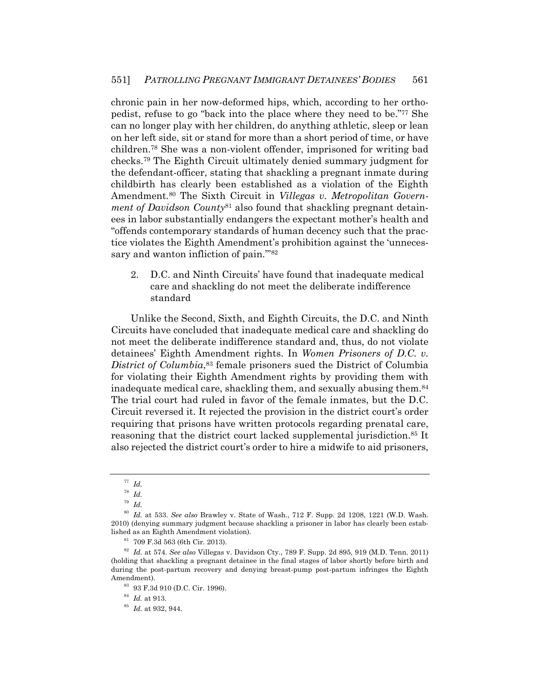chronic pain in her now-deformed hips, which, according to her orthopedist, refuse to go "back into the place where they need to be."77 She can no longer play with her children, do anything athletic, sleep or lean on her left side, sit or stand for more than a short period of time, or have children.78 She was a non-violent offender, imprisoned for writing bad checks.79 The Eighth Circuit ultimately denied summary judgment for the defendant-officer, stating that shackling a pregnant inmate during childbirth has clearly been established as a violation of the Eighth Amendment.80 The Sixth Circuit in *Villegas v. Metropolitan Government of Davidson County*<sup>81</sup> also found that shackling pregnant detainees in labor substantially endangers the expectant mother's health and "offends contemporary standards of human decency such that the practice violates the Eighth Amendment's prohibition against the 'unnecessary and wanton infliction of pain."<sup>82</sup>

2. D.C. and Ninth Circuits' have found that inadequate medical care and shackling do not meet the deliberate indifference standard

Unlike the Second, Sixth, and Eighth Circuits, the D.C. and Ninth Circuits have concluded that inadequate medical care and shackling do not meet the deliberate indifference standard and, thus, do not violate detainees' Eighth Amendment rights. In *Women Prisoners of D.C. v. District of Columbia*<sup>83</sup> female prisoners sued the District of Columbia for violating their Eighth Amendment rights by providing them with inadequate medical care, shackling them, and sexually abusing them.84 The trial court had ruled in favor of the female inmates, but the D.C. Circuit reversed it. It rejected the provision in the district court's order requiring that prisons have written protocols regarding prenatal care, reasoning that the district court lacked supplemental jurisdiction.85 It also rejected the district court's order to hire a midwife to aid prisoners,

<sup>77</sup> *Id.*

<sup>78</sup> *Id.*

<sup>79</sup> *Id.*

<sup>80</sup> *Id.* at 533. *See also* Brawley v. State of Wash., 712 F. Supp. 2d 1208, 1221 (W.D. Wash. 2010) (denying summary judgment because shackling a prisoner in labor has clearly been established as an Eighth Amendment violation).<br><sup>81</sup> 709 F.3d 563 (6th Cir. 2013).

<sup>82</sup> *Id.* at 574. *See also* Villegas v. Davidson Cty., 789 F. Supp. 2d 895, 919 (M.D. Tenn. 2011) (holding that shackling a pregnant detainee in the final stages of labor shortly before birth and during the post-partum recovery and denying breast-pump post-partum infringes the Eighth Amendment).

 $^{83}$ 93 F.3d 910 (D.C. Cir. 1996).<br> $^{84}$   $\,Id.$  at 913.

<sup>&</sup>lt;sup>85</sup> Id. at 932, 944.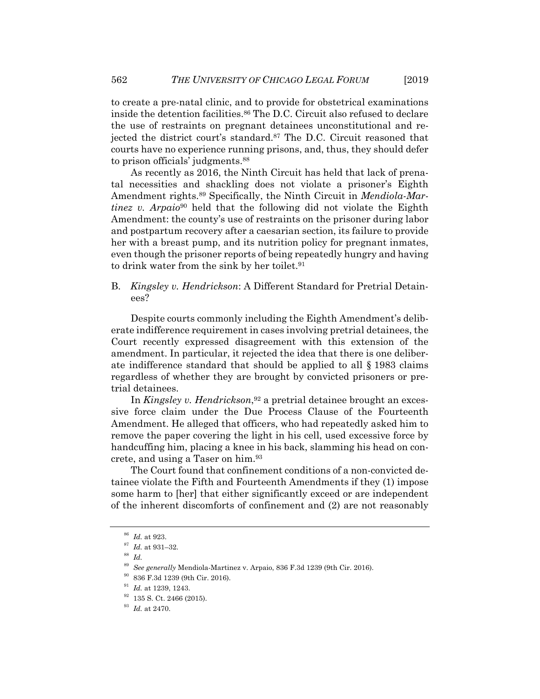to create a pre-natal clinic, and to provide for obstetrical examinations inside the detention facilities.<sup>86</sup> The D.C. Circuit also refused to declare the use of restraints on pregnant detainees unconstitutional and rejected the district court's standard.87 The D.C. Circuit reasoned that courts have no experience running prisons, and, thus, they should defer to prison officials' judgments.88

As recently as 2016, the Ninth Circuit has held that lack of prenatal necessities and shackling does not violate a prisoner's Eighth Amendment rights.89 Specifically, the Ninth Circuit in *Mendiola-Martinez v. Arpaio*90 held that the following did not violate the Eighth Amendment: the county's use of restraints on the prisoner during labor and postpartum recovery after a caesarian section, its failure to provide her with a breast pump, and its nutrition policy for pregnant inmates, even though the prisoner reports of being repeatedly hungry and having to drink water from the sink by her toilet.<sup>91</sup>

#### B. *Kingsley v. Hendrickson*: A Different Standard for Pretrial Detainees?

Despite courts commonly including the Eighth Amendment's deliberate indifference requirement in cases involving pretrial detainees, the Court recently expressed disagreement with this extension of the amendment. In particular, it rejected the idea that there is one deliberate indifference standard that should be applied to all § 1983 claims regardless of whether they are brought by convicted prisoners or pretrial detainees.

In *Kingsley v. Hendrickson*,<sup>92</sup> a pretrial detainee brought an excessive force claim under the Due Process Clause of the Fourteenth Amendment. He alleged that officers, who had repeatedly asked him to remove the paper covering the light in his cell, used excessive force by handcuffing him, placing a knee in his back, slamming his head on concrete, and using a Taser on him.93

The Court found that confinement conditions of a non-convicted detainee violate the Fifth and Fourteenth Amendments if they (1) impose some harm to [her] that either significantly exceed or are independent of the inherent discomforts of confinement and (2) are not reasonably

<sup>86</sup> *Id.* at 923. 87 *Id.* at 931–32. 88 *Id.*

<sup>89</sup> *See generally* Mendiola-Martinez v. Arpaio, 836 F.3d 1239 (9th Cir. 2016). 90 836 F.3d 1239 (9th Cir. 2016).

<sup>&</sup>lt;sup>91</sup> *Id.* at 1239, 1243.<br><sup>92</sup> 135 S. Ct. 2466 (2015).

<sup>93</sup> *Id.* at 2470.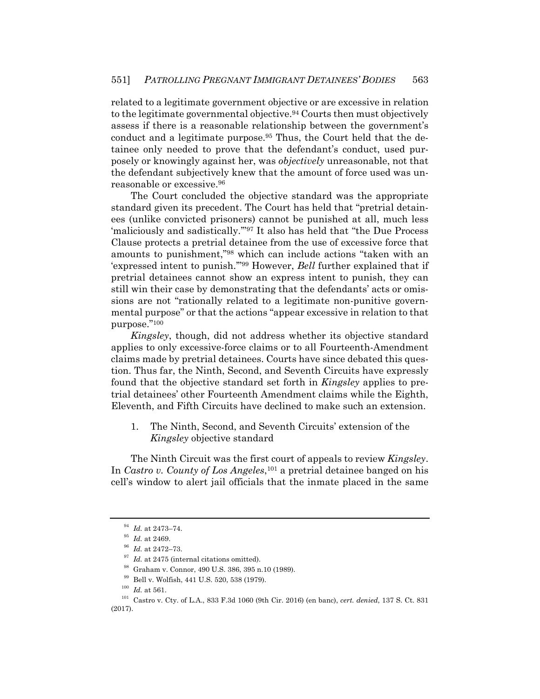related to a legitimate government objective or are excessive in relation to the legitimate governmental objective.94 Courts then must objectively assess if there is a reasonable relationship between the government's conduct and a legitimate purpose.95 Thus, the Court held that the detainee only needed to prove that the defendant's conduct, used purposely or knowingly against her, was *objectively* unreasonable, not that the defendant subjectively knew that the amount of force used was unreasonable or excessive.96

The Court concluded the objective standard was the appropriate standard given its precedent. The Court has held that "pretrial detainees (unlike convicted prisoners) cannot be punished at all, much less 'maliciously and sadistically.'"97 It also has held that "the Due Process Clause protects a pretrial detainee from the use of excessive force that amounts to punishment,"98 which can include actions "taken with an 'expressed intent to punish.'"99 However, *Bell* further explained that if pretrial detainees cannot show an express intent to punish, they can still win their case by demonstrating that the defendants' acts or omissions are not "rationally related to a legitimate non-punitive governmental purpose" or that the actions "appear excessive in relation to that purpose."100

*Kingsley*, though, did not address whether its objective standard applies to only excessive-force claims or to all Fourteenth-Amendment claims made by pretrial detainees. Courts have since debated this question. Thus far, the Ninth, Second, and Seventh Circuits have expressly found that the objective standard set forth in *Kingsley* applies to pretrial detainees' other Fourteenth Amendment claims while the Eighth, Eleventh, and Fifth Circuits have declined to make such an extension.

1. The Ninth, Second, and Seventh Circuits' extension of the *Kingsley* objective standard

The Ninth Circuit was the first court of appeals to review *Kingsley*. In *Castro v. County of Los Angeles*,101 a pretrial detainee banged on his cell's window to alert jail officials that the inmate placed in the same

<sup>&</sup>lt;sup>94</sup> Id. at 2473–74.<br><sup>95</sup> Id. at 2469.<br><sup>96</sup> Id. at 2472–73.<br><sup>97</sup> Id. at 2475 (internal citations omitted).<br><sup>98</sup> Graham v. Connor, 490 U.S. 386, 395 n.10 (1989).

<sup>99</sup> Bell v. Wolfish, 441 U.S. 520, 538 (1979). 100 *Id.* at 561. 101 Castro v. Cty. of L.A., 833 F.3d 1060 (9th Cir. 2016) (en banc), *cert. denied*, 137 S. Ct. 831 (2017).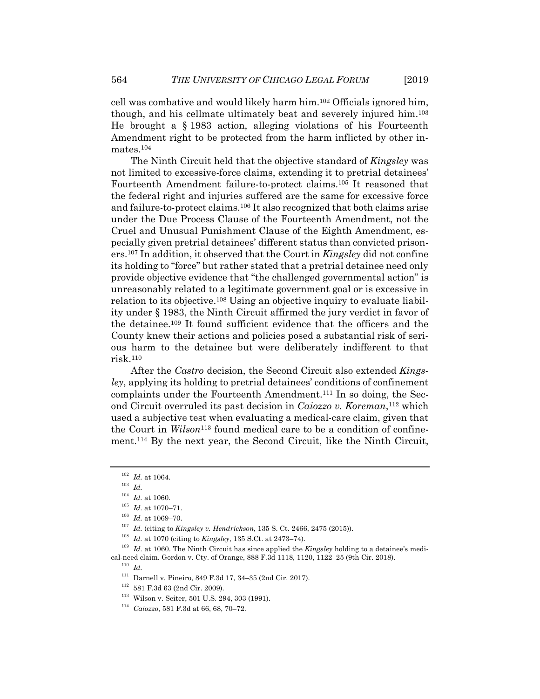cell was combative and would likely harm him.102 Officials ignored him, though, and his cellmate ultimately beat and severely injured him.103 He brought a § 1983 action, alleging violations of his Fourteenth Amendment right to be protected from the harm inflicted by other inmates.104

The Ninth Circuit held that the objective standard of *Kingsley* was not limited to excessive-force claims, extending it to pretrial detainees' Fourteenth Amendment failure-to-protect claims.105 It reasoned that the federal right and injuries suffered are the same for excessive force and failure-to-protect claims.106 It also recognized that both claims arise under the Due Process Clause of the Fourteenth Amendment, not the Cruel and Unusual Punishment Clause of the Eighth Amendment, especially given pretrial detainees' different status than convicted prisoners.107 In addition, it observed that the Court in *Kingsley* did not confine its holding to "force" but rather stated that a pretrial detainee need only provide objective evidence that "the challenged governmental action" is unreasonably related to a legitimate government goal or is excessive in relation to its objective.<sup>108</sup> Using an objective inquiry to evaluate liability under § 1983, the Ninth Circuit affirmed the jury verdict in favor of the detainee.109 It found sufficient evidence that the officers and the County knew their actions and policies posed a substantial risk of serious harm to the detainee but were deliberately indifferent to that risk.110

After the *Castro* decision, the Second Circuit also extended *Kingsley*, applying its holding to pretrial detainees' conditions of confinement complaints under the Fourteenth Amendment.111 In so doing, the Second Circuit overruled its past decision in *Caiozzo v. Koreman*,112 which used a subjective test when evaluating a medical-care claim, given that the Court in *Wilson*113 found medical care to be a condition of confinement.114 By the next year, the Second Circuit, like the Ninth Circuit,

<sup>104</sup> *Id.* at 1060.<br><sup>105</sup> *Id.* at 1070–71.<br><sup>106</sup> *Id.* at 1069–70.<br><sup>107</sup> *Id.* (citing to *Kingsley v. Hendrickson*, 135 S. Ct. 2466, 2475 (2015)).<br><sup>108</sup> *Id.* at 1070 (citing to *Kingsley*, 135 S.Ct. at 2473–74).<br><sup>109</sup> cal-need claim. Gordon v. Cty. of Orange, 888 F.3d 1118, 1120, 1122–25 (9th Cir. 2018).

 $^{110}\,$   $Id.$ 

111 Darnell v. Pineiro, 849 F.3d 17, 34–35 (2nd Cir. 2017). 112 581 F.3d 63 (2nd Cir. 2009). 113 Wilson v. Seiter, 501 U.S. 294, 303 (1991). 114 *Caiozzo*, 581 F.3d at 66, 68, 70–72.

<sup>102</sup> *Id.* at 1064. 103 *Id.*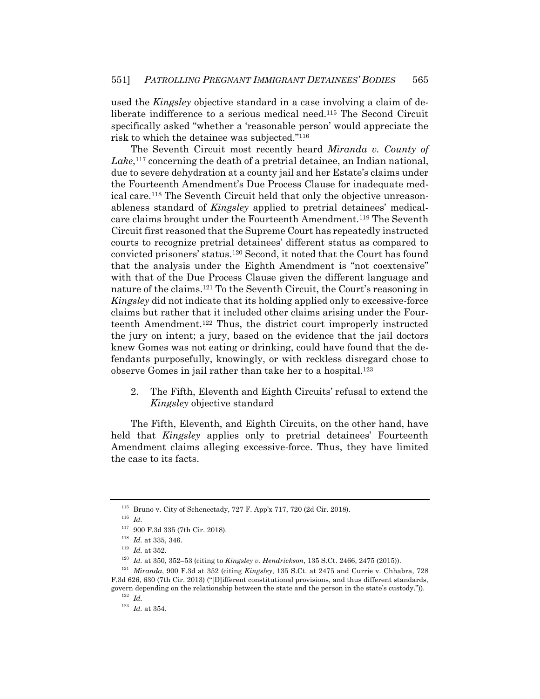used the *Kingsley* objective standard in a case involving a claim of deliberate indifference to a serious medical need.115 The Second Circuit specifically asked "whether a 'reasonable person' would appreciate the risk to which the detainee was subjected."116

The Seventh Circuit most recently heard *Miranda v. County of*  Lake,<sup>117</sup> concerning the death of a pretrial detainee, an Indian national, due to severe dehydration at a county jail and her Estate's claims under the Fourteenth Amendment's Due Process Clause for inadequate medical care.118 The Seventh Circuit held that only the objective unreasonableness standard of *Kingsley* applied to pretrial detainees' medicalcare claims brought under the Fourteenth Amendment.119 The Seventh Circuit first reasoned that the Supreme Court has repeatedly instructed courts to recognize pretrial detainees' different status as compared to convicted prisoners' status.120 Second, it noted that the Court has found that the analysis under the Eighth Amendment is "not coextensive" with that of the Due Process Clause given the different language and nature of the claims.121 To the Seventh Circuit, the Court's reasoning in *Kingsley* did not indicate that its holding applied only to excessive-force claims but rather that it included other claims arising under the Fourteenth Amendment.122 Thus, the district court improperly instructed the jury on intent; a jury, based on the evidence that the jail doctors knew Gomes was not eating or drinking, could have found that the defendants purposefully, knowingly, or with reckless disregard chose to observe Gomes in jail rather than take her to a hospital.123

2. The Fifth, Eleventh and Eighth Circuits' refusal to extend the *Kingsley* objective standard

The Fifth, Eleventh, and Eighth Circuits, on the other hand, have held that *Kingsley* applies only to pretrial detainees' Fourteenth Amendment claims alleging excessive-force. Thus, they have limited the case to its facts.

F.3d 626, 630 (7th Cir. 2013) ("[D]ifferent constitutional provisions, and thus different standards, govern depending on the relationship between the state and the person in the state's custody.")).  $^{122}\,$   $Id$ 

 $123$  *Id.* at 354.

 $^{115}\rm~Bruno$ v. City of Schenectady, 727 F. App'x 717, 720 (2d Cir. 2018).  $^{116}\rm~\mathit{Id}$ 

<sup>&</sup>lt;sup>117</sup> 900 F.3d 335 (7th Cir. 2018).<br><sup>118</sup> *Id.* at 335, 346.<br><sup>119</sup> *Id.* at 352.<br><sup>120</sup> *Id.* at 350, 352–53 (citing to *Kingsley v. Hendrickson*, 135 S.Ct. 2466, 2475 (2015)).<br><sup>121</sup> *Miranda*, 900 F.3d at 352 (citing *Kin*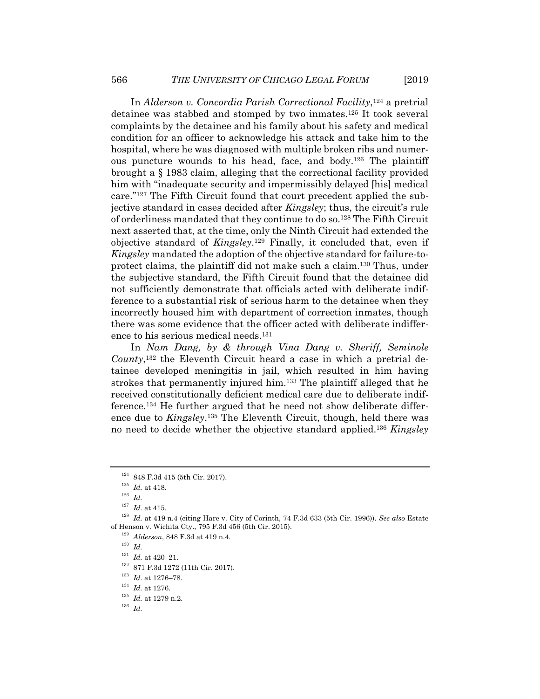In *Alderson v. Concordia Parish Correctional Facility*,124 a pretrial detainee was stabbed and stomped by two inmates.125 It took several complaints by the detainee and his family about his safety and medical condition for an officer to acknowledge his attack and take him to the hospital, where he was diagnosed with multiple broken ribs and numerous puncture wounds to his head, face, and body.126 The plaintiff brought a § 1983 claim, alleging that the correctional facility provided him with "inadequate security and impermissibly delayed [his] medical care."127 The Fifth Circuit found that court precedent applied the subjective standard in cases decided after *Kingsley*; thus, the circuit's rule of orderliness mandated that they continue to do so.128 The Fifth Circuit next asserted that, at the time, only the Ninth Circuit had extended the objective standard of *Kingsley*.129 Finally, it concluded that, even if *Kingsley* mandated the adoption of the objective standard for failure-toprotect claims, the plaintiff did not make such a claim.130 Thus, under the subjective standard, the Fifth Circuit found that the detainee did not sufficiently demonstrate that officials acted with deliberate indifference to a substantial risk of serious harm to the detainee when they incorrectly housed him with department of correction inmates, though there was some evidence that the officer acted with deliberate indifference to his serious medical needs.131

In *Nam Dang, by & through Vina Dang v. Sheriff, Seminole County*,132 the Eleventh Circuit heard a case in which a pretrial detainee developed meningitis in jail, which resulted in him having strokes that permanently injured him.133 The plaintiff alleged that he received constitutionally deficient medical care due to deliberate indifference.134 He further argued that he need not show deliberate difference due to *Kingsley*.135 The Eleventh Circuit, though, held there was no need to decide whether the objective standard applied.136 *Kingsley*

<sup>&</sup>lt;sup>124</sup> 848 F.3d 415 (5th Cir. 2017).<br>
<sup>125</sup> *Id.* at 418.<br>
<sup>126</sup> *Id.* at 415.

<sup>127</sup> *Id.* at 415. 128 *Id.* at 419 n.4 (citing Hare v. City of Corinth, 74 F.3d 633 (5th Cir. 1996)). *See also* Estate % of Henson v. Wichita Cty., 795 F.3d 456 (5th Cir. 2015).<br>  $^{129}$  Alderson, 848 F.3d at 419 n.4.<br>  $^{130}$  Id. 131 Id. at 420–21.

<sup>131</sup> *Id.* at 420–21. 132 871 F.3d 1272 (11th Cir. 2017). 133 *Id.* at 1276–78. 134 *Id.* at 1276. 135 *Id.* at 1279 n.2. 136 *Id.*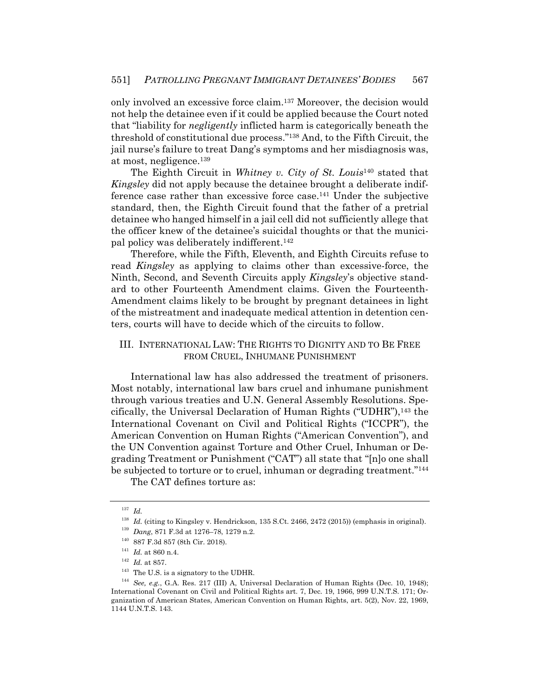only involved an excessive force claim.137 Moreover, the decision would not help the detainee even if it could be applied because the Court noted that "liability for *negligently* inflicted harm is categorically beneath the threshold of constitutional due process."138 And, to the Fifth Circuit, the jail nurse's failure to treat Dang's symptoms and her misdiagnosis was, at most, negligence.139

The Eighth Circuit in *Whitney v. City of St. Louis*140 stated that *Kingsley* did not apply because the detainee brought a deliberate indifference case rather than excessive force case.141 Under the subjective standard, then, the Eighth Circuit found that the father of a pretrial detainee who hanged himself in a jail cell did not sufficiently allege that the officer knew of the detainee's suicidal thoughts or that the municipal policy was deliberately indifferent.142

Therefore, while the Fifth, Eleventh, and Eighth Circuits refuse to read *Kingsley* as applying to claims other than excessive-force, the Ninth, Second, and Seventh Circuits apply *Kingsley*'s objective standard to other Fourteenth Amendment claims. Given the Fourteenth-Amendment claims likely to be brought by pregnant detainees in light of the mistreatment and inadequate medical attention in detention centers, courts will have to decide which of the circuits to follow.

#### III. INTERNATIONAL LAW: THE RIGHTS TO DIGNITY AND TO BE FREE FROM CRUEL, INHUMANE PUNISHMENT

International law has also addressed the treatment of prisoners. Most notably, international law bars cruel and inhumane punishment through various treaties and U.N. General Assembly Resolutions. Specifically, the Universal Declaration of Human Rights ("UDHR"),143 the International Covenant on Civil and Political Rights ("ICCPR"), the American Convention on Human Rights ("American Convention"), and the UN Convention against Torture and Other Cruel, Inhuman or Degrading Treatment or Punishment ("CAT") all state that "[n]o one shall be subjected to torture or to cruel, inhuman or degrading treatment."144

The CAT defines torture as:

<sup>137</sup> *Id.*

<sup>&</sup>lt;sup>138</sup> *Id.* (citing to Kingsley v. Hendrickson, 135 S.Ct. 2466, 2472 (2015)) (emphasis in original).<br><sup>139</sup> *Dang*, 871 F.3d at 1276–78, 1279 n.2.<br><sup>140</sup> 887 F.3d 857 (8th Cir. 2018).<br><sup>141</sup> *Id.* at 860 n.4.<br><sup>142</sup> *Id.* at International Covenant on Civil and Political Rights art. 7, Dec. 19, 1966, 999 U.N.T.S. 171; Organization of American States, American Convention on Human Rights, art. 5(2), Nov. 22, 1969, 1144 U.N.T.S. 143.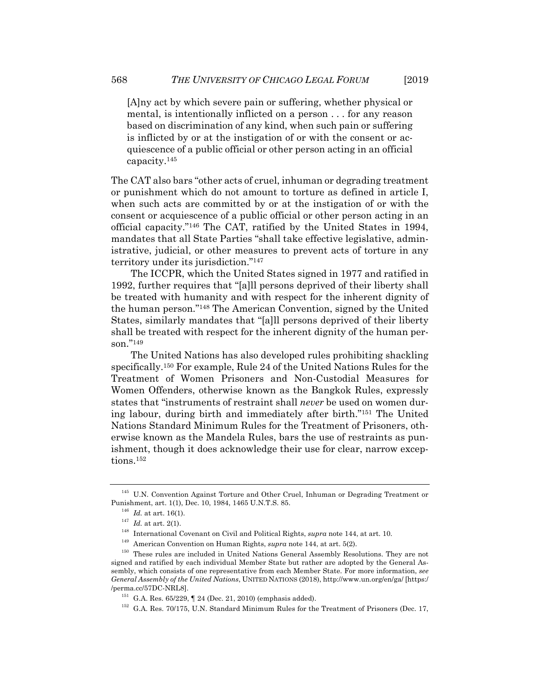[A]ny act by which severe pain or suffering, whether physical or mental, is intentionally inflicted on a person . . . for any reason based on discrimination of any kind, when such pain or suffering is inflicted by or at the instigation of or with the consent or acquiescence of a public official or other person acting in an official capacity.145

The CAT also bars "other acts of cruel, inhuman or degrading treatment or punishment which do not amount to torture as defined in article I, when such acts are committed by or at the instigation of or with the consent or acquiescence of a public official or other person acting in an official capacity."146 The CAT, ratified by the United States in 1994, mandates that all State Parties "shall take effective legislative, administrative, judicial, or other measures to prevent acts of torture in any territory under its jurisdiction."147

The ICCPR, which the United States signed in 1977 and ratified in 1992, further requires that "[a]ll persons deprived of their liberty shall be treated with humanity and with respect for the inherent dignity of the human person."148 The American Convention, signed by the United States, similarly mandates that "[a]ll persons deprived of their liberty shall be treated with respect for the inherent dignity of the human person."149

The United Nations has also developed rules prohibiting shackling specifically.150 For example, Rule 24 of the United Nations Rules for the Treatment of Women Prisoners and Non-Custodial Measures for Women Offenders, otherwise known as the Bangkok Rules, expressly states that "instruments of restraint shall *never* be used on women during labour, during birth and immediately after birth."151 The United Nations Standard Minimum Rules for the Treatment of Prisoners, otherwise known as the Mandela Rules, bars the use of restraints as punishment, though it does acknowledge their use for clear, narrow exceptions.152

<sup>145</sup> U.N. Convention Against Torture and Other Cruel, Inhuman or Degrading Treatment or

Punishment, art. 1(1), Dec. 10, 1984, 1465 U.N.T.S. 85.<br><sup>146</sup> *Id.* at art. 16(1).<br><sup>147</sup> *Id.* at art. 2(1).<br><sup>147</sup> Id. at art. 2(1).<br><sup>148</sup> International Covenant on Civil and Political Rights, *supra* note 144, at art. 10 signed and ratified by each individual Member State but rather are adopted by the General Assembly, which consists of one representative from each Member State. For more information, *see General Assembly of the United Nations*, UNITED NATIONS (2018), http://www.un.org/en/ga/ [https:/ /perma.cc/57DC-NRL8]. 151 G.A. Res. 65/229, ¶ 24 (Dec. 21, 2010) (emphasis added). 152 G.A. Res. 70/175, U.N. Standard Minimum Rules for the Treatment of Prisoners (Dec. 17,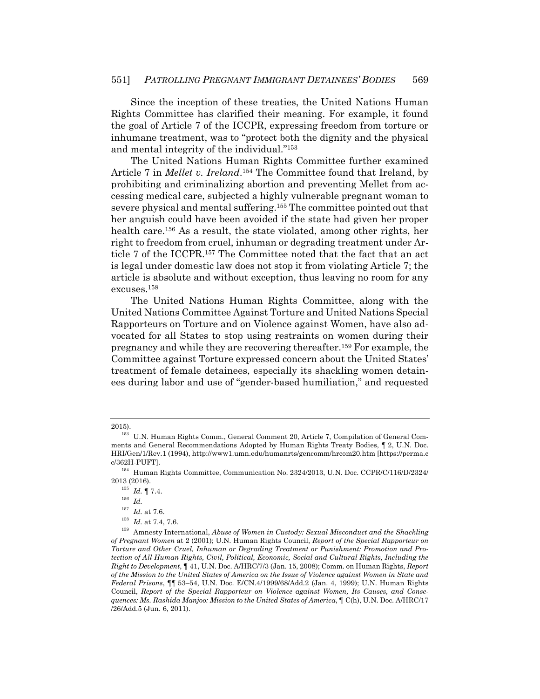Since the inception of these treaties, the United Nations Human Rights Committee has clarified their meaning. For example, it found the goal of Article 7 of the ICCPR, expressing freedom from torture or inhumane treatment, was to "protect both the dignity and the physical and mental integrity of the individual."153

The United Nations Human Rights Committee further examined Article 7 in *Mellet v. Ireland*.154 The Committee found that Ireland, by prohibiting and criminalizing abortion and preventing Mellet from accessing medical care, subjected a highly vulnerable pregnant woman to severe physical and mental suffering.155 The committee pointed out that her anguish could have been avoided if the state had given her proper health care.156 As a result, the state violated, among other rights, her right to freedom from cruel, inhuman or degrading treatment under Article 7 of the ICCPR.157 The Committee noted that the fact that an act is legal under domestic law does not stop it from violating Article 7; the article is absolute and without exception, thus leaving no room for any excuses.158

The United Nations Human Rights Committee, along with the United Nations Committee Against Torture and United Nations Special Rapporteurs on Torture and on Violence against Women, have also advocated for all States to stop using restraints on women during their pregnancy and while they are recovering thereafter.159 For example, the Committee against Torture expressed concern about the United States' treatment of female detainees, especially its shackling women detainees during labor and use of "gender-based humiliation," and requested

<sup>2015). 153</sup> U.N. Human Rights Comm., General Comment 20, Article 7, Compilation of General Comments and General Recommendations Adopted by Human Rights Treaty Bodies, ¶ 2, U.N. Doc. HRI/Gen/1/Rev.1 (1994), http://www1.umn.edu/humanrts/gencomm/hrcom20.htm [https://perma.c

c/362H-PUFT].<br><sup>154</sup> Human Rights Committee, Communication No. 2324/2013, U.N. Doc. CCPR/C/116/D/2324/<br>2013 (2016).

 $\begin{array}{lll} \text{^{155}} & Id. \P{7.4}. \\ \text{^{156}} & Id. \\ \text{^{157}} & Id. \text{ at 7.6}. \end{array}$ 

<sup>157</sup> *Id.* at 7.6. 158 *Id.* at 7.4, 7.6. 159 Amnesty International, *Abuse of Women in Custody: Sexual Misconduct and the Shackling of Pregnant Women* at 2 (2001); U.N. Human Rights Council, *Report of the Special Rapporteur on Torture and Other Cruel, Inhuman or Degrading Treatment or Punishment: Promotion and Protection of All Human Rights, Civil, Political, Economic, Social and Cultural Rights, Including the Right to Development*, ¶ 41, U.N. Doc. A/HRC/7/3 (Jan. 15, 2008); Comm. on Human Rights, *Report of the Mission to the United States of America on the Issue of Violence against Women in State and Federal Prisons*, ¶¶ 53–54, U.N. Doc. E/CN.4/1999/68/Add.2 (Jan. 4, 1999); U.N. Human Rights Council, *Report of the Special Rapporteur on Violence against Women, Its Causes, and Consequences: Ms. Rashida Manjoo: Mission to the United States of America*, ¶ C(h), U.N. Doc. A/HRC/17 /26/Add.5 (Jun. 6, 2011).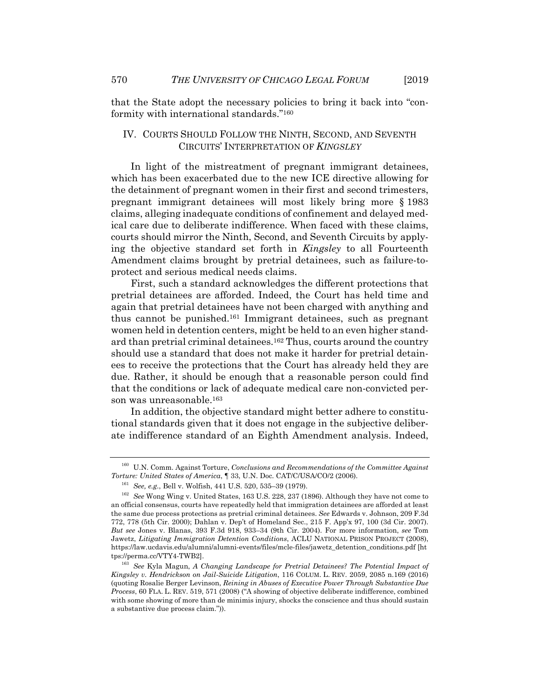that the State adopt the necessary policies to bring it back into "conformity with international standards."160

#### IV. COURTS SHOULD FOLLOW THE NINTH, SECOND, AND SEVENTH CIRCUITS' INTERPRETATION OF *KINGSLEY*

In light of the mistreatment of pregnant immigrant detainees, which has been exacerbated due to the new ICE directive allowing for the detainment of pregnant women in their first and second trimesters, pregnant immigrant detainees will most likely bring more § 1983 claims, alleging inadequate conditions of confinement and delayed medical care due to deliberate indifference. When faced with these claims, courts should mirror the Ninth, Second, and Seventh Circuits by applying the objective standard set forth in *Kingsley* to all Fourteenth Amendment claims brought by pretrial detainees, such as failure-toprotect and serious medical needs claims.

First, such a standard acknowledges the different protections that pretrial detainees are afforded. Indeed, the Court has held time and again that pretrial detainees have not been charged with anything and thus cannot be punished.161 Immigrant detainees, such as pregnant women held in detention centers, might be held to an even higher standard than pretrial criminal detainees.<sup>162</sup> Thus, courts around the country should use a standard that does not make it harder for pretrial detainees to receive the protections that the Court has already held they are due. Rather, it should be enough that a reasonable person could find that the conditions or lack of adequate medical care non-convicted person was unreasonable.163

In addition, the objective standard might better adhere to constitutional standards given that it does not engage in the subjective deliberate indifference standard of an Eighth Amendment analysis. Indeed,

<sup>160</sup> U.N. Comm. Against Torture, *Conclusions and Recommendations of the Committee Against*   $\begin{array}{lll} \textit{Torture: United States of America, \P 33, U.N. Doc. CAT/CUSA/CO/2 (2006).}\\ & ^{161} \textit{See, e.g., Bell v. Wolfish, 441 U.S. 520, 535–39 (1979).}\\ & ^{162} \textit{See Wong Wing v. United States, 163 U.S. 228, 237 (1896). Although they have not come to the other.}\\ \end{array}$ 

an official consensus, courts have repeatedly held that immigration detainees are afforded at least the same due process protections as pretrial criminal detainees. *See* Edwards v. Johnson, 209 F.3d 772, 778 (5th Cir. 2000); Dahlan v. Dep't of Homeland Sec., 215 F. App'x 97, 100 (3d Cir. 2007). *But see* Jones v. Blanas, 393 F.3d 918, 933–34 (9th Cir. 2004). For more information, *see* Tom Jawetz, *Litigating Immigration Detention Conditions*, ACLU NATIONAL PRISON PROJECT (2008), https://law.ucdavis.edu/alumni/alumni-events/files/mcle-files/jawetz\_detention\_conditions.pdf [ht

tps://perma.cc/VTY4-TWB2]. 163 *See* Kyla Magun, *A Changing Landscape for Pretrial Detainees? The Potential Impact of Kingsley v. Hendrickson on Jail-Suicide Litigation*, 116 COLUM. L. REV. 2059, 2085 n.169 (2016) (quoting Rosalie Berger Levinson, *Reining in Abuses of Executive Power Through Substantive Due Process*, 60 FLA. L. REV. 519, 571 (2008) ("A showing of objective deliberate indifference, combined with some showing of more than de minimis injury, shocks the conscience and thus should sustain a substantive due process claim.")).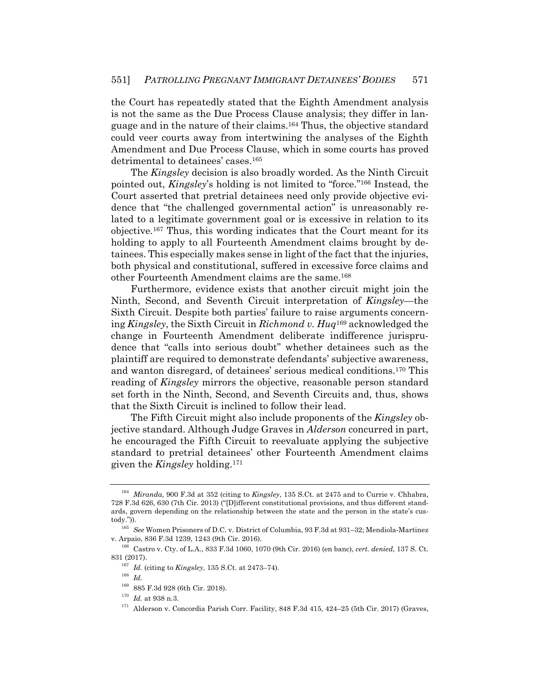the Court has repeatedly stated that the Eighth Amendment analysis is not the same as the Due Process Clause analysis; they differ in language and in the nature of their claims.164 Thus, the objective standard could veer courts away from intertwining the analyses of the Eighth Amendment and Due Process Clause, which in some courts has proved detrimental to detainees' cases.165

The *Kingsley* decision is also broadly worded. As the Ninth Circuit pointed out, *Kingsley*'s holding is not limited to "force."166 Instead, the Court asserted that pretrial detainees need only provide objective evidence that "the challenged governmental action" is unreasonably related to a legitimate government goal or is excessive in relation to its objective.167 Thus, this wording indicates that the Court meant for its holding to apply to all Fourteenth Amendment claims brought by detainees. This especially makes sense in light of the fact that the injuries, both physical and constitutional, suffered in excessive force claims and other Fourteenth Amendment claims are the same.168

Furthermore, evidence exists that another circuit might join the Ninth, Second, and Seventh Circuit interpretation of *Kingsley*—the Sixth Circuit. Despite both parties' failure to raise arguments concerning *Kingsley*, the Sixth Circuit in *Richmond v. Huq*169 acknowledged the change in Fourteenth Amendment deliberate indifference jurisprudence that "calls into serious doubt" whether detainees such as the plaintiff are required to demonstrate defendants' subjective awareness, and wanton disregard, of detainees' serious medical conditions.170 This reading of *Kingsley* mirrors the objective, reasonable person standard set forth in the Ninth, Second, and Seventh Circuits and, thus, shows that the Sixth Circuit is inclined to follow their lead.

The Fifth Circuit might also include proponents of the *Kingsley* objective standard. Although Judge Graves in *Alderson* concurred in part, he encouraged the Fifth Circuit to reevaluate applying the subjective standard to pretrial detainees' other Fourteenth Amendment claims given the *Kingsley* holding.171

<sup>164</sup> *Miranda*, 900 F.3d at 352 (citing to *Kingsley*, 135 S.Ct. at 2475 and to Currie v. Chhabra, 728 F.3d 626, 630 (7th Cir. 2013) ("[D]ifferent constitutional provisions, and thus different standards, govern depending on the relationship between the state and the person in the state's cus-

tody.")). 165 *See* Women Prisoners of D.C. v. District of Columbia, 93 F.3d at 931–32; Mendiola-Martinez

<sup>&</sup>lt;sup>166</sup> Castro v. Cty. of L.A., 833 F.3d 1060, 1070 (9th Cir. 2016) (en banc), *cert. denied*, 137 S. Ct. 831 (2017).  $1^{167}$  *Id.* (citing to *Kingsley*, 135 S.Ct. at 2473–74).  $1^{168}$  *Id* 

<sup>&</sup>lt;sup>169</sup> 885 F.3d 928 (6th Cir. 2018).<br><sup>170</sup> Id. at 938 n.3.<br><sup>171</sup> Alderson v. Concordia Parish Corr. Facility, 848 F.3d 415, 424–25 (5th Cir. 2017) (Graves,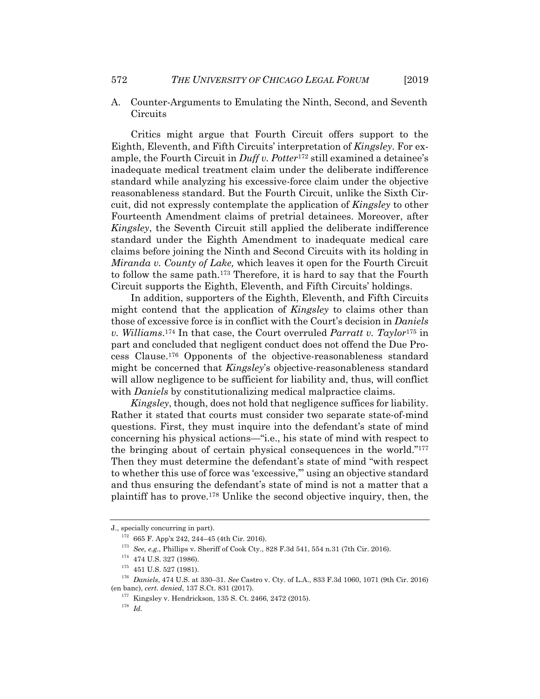A. Counter-Arguments to Emulating the Ninth, Second, and Seventh Circuits

Critics might argue that Fourth Circuit offers support to the Eighth, Eleventh, and Fifth Circuits' interpretation of *Kingsley*. For example, the Fourth Circuit in *Duff v. Potter*172 still examined a detainee's inadequate medical treatment claim under the deliberate indifference standard while analyzing his excessive-force claim under the objective reasonableness standard. But the Fourth Circuit, unlike the Sixth Circuit, did not expressly contemplate the application of *Kingsley* to other Fourteenth Amendment claims of pretrial detainees. Moreover, after *Kingsley*, the Seventh Circuit still applied the deliberate indifference standard under the Eighth Amendment to inadequate medical care claims before joining the Ninth and Second Circuits with its holding in *Miranda v. County of Lake,* which leaves it open for the Fourth Circuit to follow the same path.173 Therefore, it is hard to say that the Fourth Circuit supports the Eighth, Eleventh, and Fifth Circuits' holdings.

In addition, supporters of the Eighth, Eleventh, and Fifth Circuits might contend that the application of *Kingsley* to claims other than those of excessive force is in conflict with the Court's decision in *Daniels v. Williams*.174 In that case, the Court overruled *Parratt v. Taylor*175 in part and concluded that negligent conduct does not offend the Due Process Clause.176 Opponents of the objective-reasonableness standard might be concerned that *Kingsley*'s objective-reasonableness standard will allow negligence to be sufficient for liability and, thus, will conflict with *Daniels* by constitutionalizing medical malpractice claims.

*Kingsley*, though, does not hold that negligence suffices for liability. Rather it stated that courts must consider two separate state-of-mind questions. First, they must inquire into the defendant's state of mind concerning his physical actions—"i.e., his state of mind with respect to the bringing about of certain physical consequences in the world."177 Then they must determine the defendant's state of mind "with respect to whether this use of force was 'excessive,'" using an objective standard and thus ensuring the defendant's state of mind is not a matter that a plaintiff has to prove.178 Unlike the second objective inquiry, then, the

J., specially concurring in part).<br>
<sup>172</sup> 665 F. App'x 242, 244–45 (4th Cir. 2016).<br>
<sup>173</sup> *See, e.g.*, Phillips v. Sheriff of Cook Cty., 828 F.3d 541, 554 n.31 (7th Cir. 2016).<br>
<sup>174</sup> 474 U.S. 327 (1986).<br>
<sup>174</sup> 451 U.S.

 $^{177}_{\quad178}$  Kingsley v. Hendrickson, 135 S. Ct. 2466, 2472 (2015).  $^{178}_{\quad16}$   $_{Id}$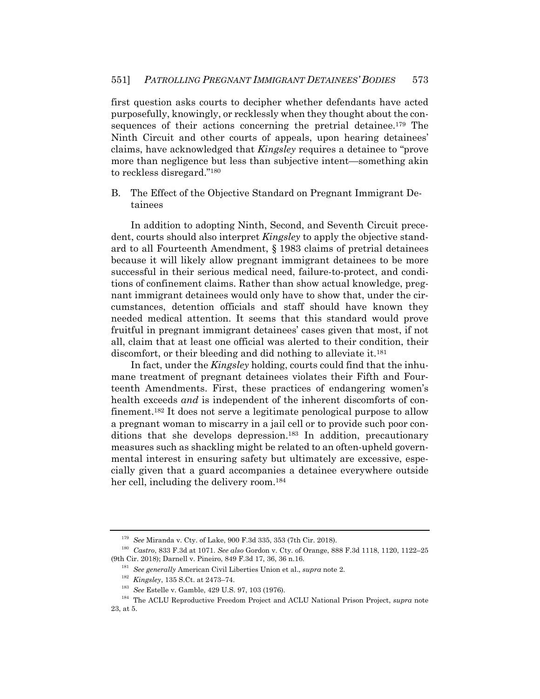first question asks courts to decipher whether defendants have acted purposefully, knowingly, or recklessly when they thought about the consequences of their actions concerning the pretrial detainee.<sup>179</sup> The Ninth Circuit and other courts of appeals, upon hearing detainees' claims, have acknowledged that *Kingsley* requires a detainee to "prove more than negligence but less than subjective intent—something akin to reckless disregard."180

B. The Effect of the Objective Standard on Pregnant Immigrant Detainees

In addition to adopting Ninth, Second, and Seventh Circuit precedent, courts should also interpret *Kingsley* to apply the objective standard to all Fourteenth Amendment, § 1983 claims of pretrial detainees because it will likely allow pregnant immigrant detainees to be more successful in their serious medical need, failure-to-protect, and conditions of confinement claims. Rather than show actual knowledge, pregnant immigrant detainees would only have to show that, under the circumstances, detention officials and staff should have known they needed medical attention. It seems that this standard would prove fruitful in pregnant immigrant detainees' cases given that most, if not all, claim that at least one official was alerted to their condition, their discomfort, or their bleeding and did nothing to alleviate it.<sup>181</sup>

In fact, under the *Kingsley* holding, courts could find that the inhumane treatment of pregnant detainees violates their Fifth and Fourteenth Amendments. First, these practices of endangering women's health exceeds *and* is independent of the inherent discomforts of confinement.182 It does not serve a legitimate penological purpose to allow a pregnant woman to miscarry in a jail cell or to provide such poor conditions that she develops depression.<sup>183</sup> In addition, precautionary measures such as shackling might be related to an often-upheld governmental interest in ensuring safety but ultimately are excessive, especially given that a guard accompanies a detainee everywhere outside her cell, including the delivery room.<sup>184</sup>

<sup>179</sup> *See* Miranda v. Cty. of Lake, 900 F.3d 335, 353 (7th Cir. 2018). 180 *Castro*, 833 F.3d at 1071. *See also* Gordon v. Cty. of Orange, 888 F.3d 1118, 1120, 1122–25 (9th Cir. 2018); Darnell v. Pineiro, 849 F.3d 17, 36, 36 n.16.<br><sup>181</sup> *See generally* American Civil Liberties Union et al., *supra* note 2.<br><sup>182</sup> *Kingsley*, 135 S.Ct. at 2473–74.<br><sup>183</sup> *See* Estelle v. Gamble, 429 U.S. 9

<sup>23,</sup> at 5.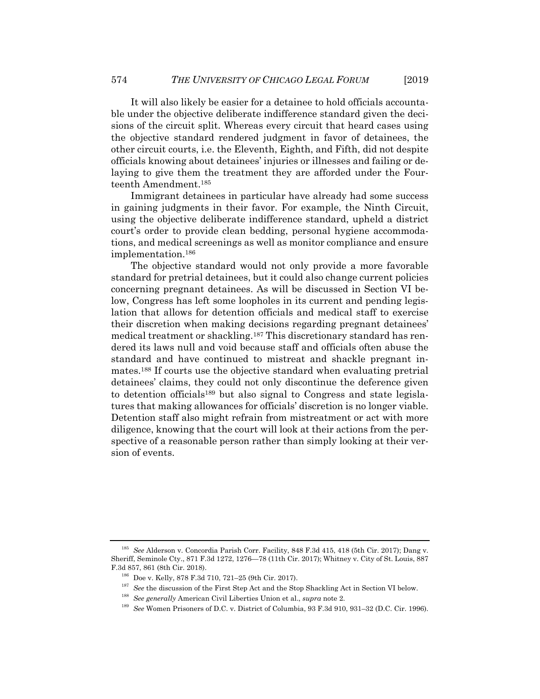It will also likely be easier for a detainee to hold officials accountable under the objective deliberate indifference standard given the decisions of the circuit split. Whereas every circuit that heard cases using the objective standard rendered judgment in favor of detainees, the other circuit courts, i.e. the Eleventh, Eighth, and Fifth, did not despite officials knowing about detainees' injuries or illnesses and failing or delaying to give them the treatment they are afforded under the Fourteenth Amendment.185

Immigrant detainees in particular have already had some success in gaining judgments in their favor. For example, the Ninth Circuit, using the objective deliberate indifference standard, upheld a district court's order to provide clean bedding, personal hygiene accommodations, and medical screenings as well as monitor compliance and ensure implementation.186

The objective standard would not only provide a more favorable standard for pretrial detainees, but it could also change current policies concerning pregnant detainees. As will be discussed in Section VI below, Congress has left some loopholes in its current and pending legislation that allows for detention officials and medical staff to exercise their discretion when making decisions regarding pregnant detainees' medical treatment or shackling.187 This discretionary standard has rendered its laws null and void because staff and officials often abuse the standard and have continued to mistreat and shackle pregnant inmates.188 If courts use the objective standard when evaluating pretrial detainees' claims, they could not only discontinue the deference given to detention officials<sup>189</sup> but also signal to Congress and state legislatures that making allowances for officials' discretion is no longer viable. Detention staff also might refrain from mistreatment or act with more diligence, knowing that the court will look at their actions from the perspective of a reasonable person rather than simply looking at their version of events.

<sup>185</sup> *See* Alderson v. Concordia Parish Corr. Facility, 848 F.3d 415, 418 (5th Cir. 2017); Dang v. Sheriff, Seminole Cty., 871 F.3d 1272, 1276—78 (11th Cir. 2017); Whitney v. City of St. Louis, 887 F.3d 857, 861 (8th Cir. 2018).<br><sup>186</sup> Doe v. Kelly, 878 F.3d 710, 721–25 (9th Cir. 2017).<br><sup>187</sup> See the discussion of the First Step Act and the Stop Shackling Act in Section VI below.<br><sup>187</sup> See generally American Civil Li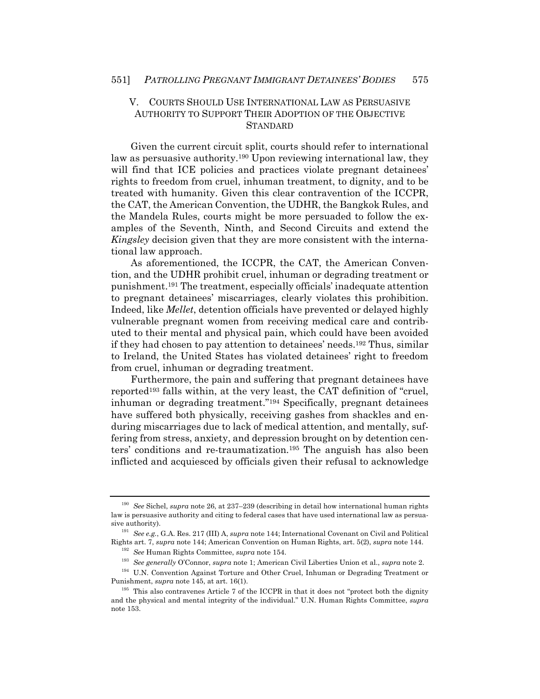#### V. COURTS SHOULD USE INTERNATIONAL LAW AS PERSUASIVE AUTHORITY TO SUPPORT THEIR ADOPTION OF THE OBJECTIVE **STANDARD**

Given the current circuit split, courts should refer to international law as persuasive authority.<sup>190</sup> Upon reviewing international law, they will find that ICE policies and practices violate pregnant detainees' rights to freedom from cruel, inhuman treatment, to dignity, and to be treated with humanity. Given this clear contravention of the ICCPR, the CAT, the American Convention, the UDHR, the Bangkok Rules, and the Mandela Rules, courts might be more persuaded to follow the examples of the Seventh, Ninth, and Second Circuits and extend the *Kingsley* decision given that they are more consistent with the international law approach.

As aforementioned, the ICCPR, the CAT, the American Convention, and the UDHR prohibit cruel, inhuman or degrading treatment or punishment.191 The treatment, especially officials' inadequate attention to pregnant detainees' miscarriages, clearly violates this prohibition. Indeed, like *Mellet*, detention officials have prevented or delayed highly vulnerable pregnant women from receiving medical care and contributed to their mental and physical pain, which could have been avoided if they had chosen to pay attention to detainees' needs.192 Thus, similar to Ireland, the United States has violated detainees' right to freedom from cruel, inhuman or degrading treatment.

Furthermore, the pain and suffering that pregnant detainees have reported<sup>193</sup> falls within, at the very least, the CAT definition of "cruel, inhuman or degrading treatment."194 Specifically, pregnant detainees have suffered both physically, receiving gashes from shackles and enduring miscarriages due to lack of medical attention, and mentally, suffering from stress, anxiety, and depression brought on by detention centers' conditions and re-traumatization.195 The anguish has also been inflicted and acquiesced by officials given their refusal to acknowledge

<sup>190</sup> *See* Sichel, *supra* note 26, at 237–239 (describing in detail how international human rights law is persuasive authority and citing to federal cases that have used international law as persuasive authority).

<sup>191</sup> *See e.g.*, G.A. Res. 217 (III) A, *supra* note 144; International Covenant on Civil and Political

Rights art. 7, *supra* note 144; American Convention on Human Rights, art. 5(2), *supra* note 144.<br><sup>192</sup> See Human Rights Committee, *supra* note 154.<br><sup>193</sup> See generally O'Connor, *supra* note 1; American Civil Liberties

<sup>&</sup>lt;sup>195</sup> This also contravenes Article 7 of the ICCPR in that it does not "protect both the dignity and the physical and mental integrity of the individual." U.N. Human Rights Committee, *supra* note 153.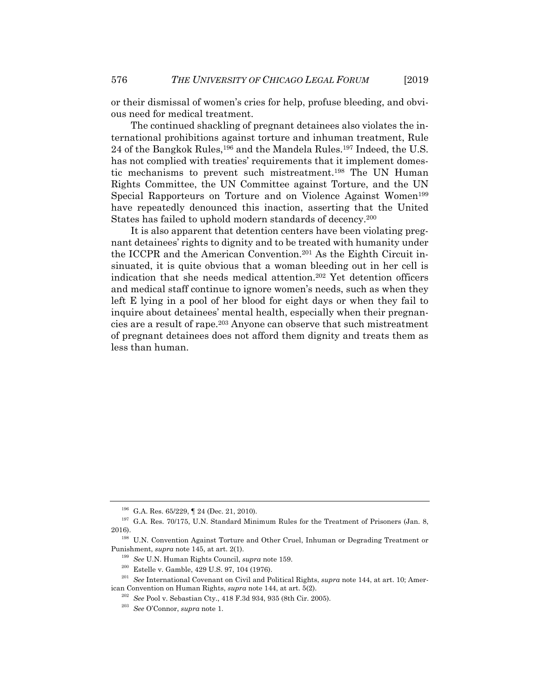or their dismissal of women's cries for help, profuse bleeding, and obvious need for medical treatment.

The continued shackling of pregnant detainees also violates the international prohibitions against torture and inhuman treatment, Rule 24 of the Bangkok Rules,196 and the Mandela Rules.197 Indeed, the U.S. has not complied with treaties' requirements that it implement domestic mechanisms to prevent such mistreatment.198 The UN Human Rights Committee, the UN Committee against Torture, and the UN Special Rapporteurs on Torture and on Violence Against Women<sup>199</sup> have repeatedly denounced this inaction, asserting that the United States has failed to uphold modern standards of decency.200

It is also apparent that detention centers have been violating pregnant detainees' rights to dignity and to be treated with humanity under the ICCPR and the American Convention.201 As the Eighth Circuit insinuated, it is quite obvious that a woman bleeding out in her cell is indication that she needs medical attention.202 Yet detention officers and medical staff continue to ignore women's needs, such as when they left E lying in a pool of her blood for eight days or when they fail to inquire about detainees' mental health, especially when their pregnancies are a result of rape.203 Anyone can observe that such mistreatment of pregnant detainees does not afford them dignity and treats them as less than human.

 $^{196}$  G.A. Res. 65/229, ¶ 24 (Dec. 21, 2010).  $^{197}$  G.A. Res. 70/175, U.N. Standard Minimum Rules for the Treatment of Prisoners (Jan. 8, 2016). 198 U.N. Convention Against Torture and Other Cruel, Inhuman or Degrading Treatment or

Punishment, *supra* note 145, at art. 2(1).<br><sup>199</sup> See U.N. Human Rights Council, *supra* note 159.<br><sup>200</sup> Estelle v. Gamble, 429 U.S. 97, 104 (1976).<br><sup>201</sup> See International Covenant on Civil and Political Rights, *supra*

<sup>&</sup>lt;sup>202</sup> See Pool v. Sebastian Cty., 418 F.3d 934, 935 (8th Cir. 2005).<br><sup>203</sup> See O'Connor, *supra* note 1.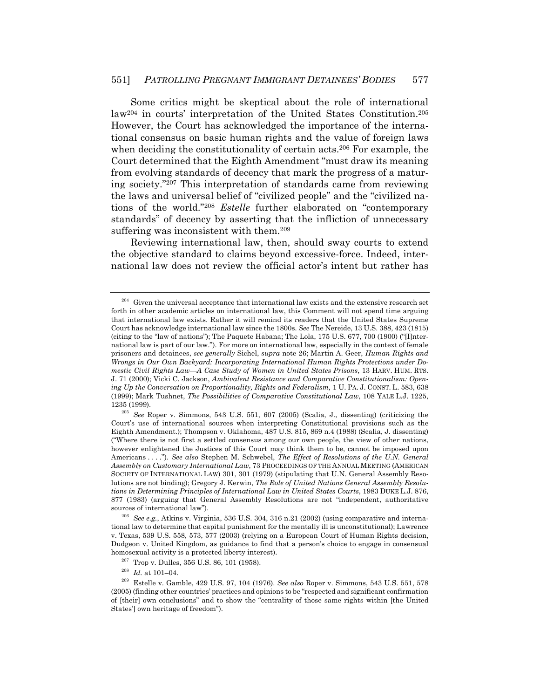Some critics might be skeptical about the role of international law204 in courts' interpretation of the United States Constitution.205 However, the Court has acknowledged the importance of the international consensus on basic human rights and the value of foreign laws when deciding the constitutionality of certain acts.<sup>206</sup> For example, the Court determined that the Eighth Amendment "must draw its meaning from evolving standards of decency that mark the progress of a maturing society."207 This interpretation of standards came from reviewing the laws and universal belief of "civilized people" and the "civilized nations of the world."208 *Estelle* further elaborated on "contemporary standards" of decency by asserting that the infliction of unnecessary suffering was inconsistent with them.<sup>209</sup>

Reviewing international law, then, should sway courts to extend the objective standard to claims beyond excessive-force. Indeed, international law does not review the official actor's intent but rather has

 $204$  Given the universal acceptance that international law exists and the extensive research set forth in other academic articles on international law, this Comment will not spend time arguing that international law exists. Rather it will remind its readers that the United States Supreme Court has acknowledge international law since the 1800s. *See* The Nereide, 13 U.S. 388, 423 (1815) (citing to the "law of nations"); The Paquete Habana; The Lola, 175 U.S. 677, 700 (1900) ("[I]nternational law is part of our law."). For more on international law, especially in the context of female prisoners and detainees, *see generally* Sichel, *supra* note 26; Martin A. Geer, *Human Rights and Wrongs in Our Own Backyard: Incorporating International Human Rights Protections under Domestic Civil Rights Law—A Case Study of Women in United States Prisons*, 13 HARV. HUM. RTS. J. 71 (2000); Vicki C. Jackson, *Ambivalent Resistance and Comparative Constitutionalism: Opening Up the Conversation on Proportionality, Rights and Federalism,* 1 U. PA. J. CONST. L. 583, 638 (1999); Mark Tushnet, *The Possibilities of Comparative Constitutional Law*, 108 YALE L.J. 1225,

<sup>1235 (1999). 205</sup> *See* Roper v. Simmons, 543 U.S. 551, 607 (2005) (Scalia, J., dissenting) (criticizing the Court's use of international sources when interpreting Constitutional provisions such as the Eighth Amendment.); Thompson v. Oklahoma, 487 U.S. 815, 869 n.4 (1988) (Scalia, J. dissenting) ("Where there is not first a settled consensus among our own people, the view of other nations, however enlightened the Justices of this Court may think them to be, cannot be imposed upon Americans . . . ."). *See also* Stephen M. Schwebel, *The Effect of Resolutions of the U.N. General Assembly on Customary International Law*, 73 PROCEEDINGS OF THE ANNUAL MEETING (AMERICAN SOCIETY OF INTERNATIONAL LAW) 301, 301 (1979) (stipulating that U.N. General Assembly Resolutions are not binding); Gregory J. Kerwin, *The Role of United Nations General Assembly Resolutions in Determining Principles of International Law in United States Courts*, 1983 DUKE L.J. 876, 877 (1983) (arguing that General Assembly Resolutions are not "independent, authoritative sources of international law"). 206 *See e.g.*, Atkins v. Virginia, 536 U.S. 304, 316 n.21 (2002) (using comparative and interna-

tional law to determine that capital punishment for the mentally ill is unconstitutional); Lawrence v. Texas, 539 U.S. 558, 573, 577 (2003) (relying on a European Court of Human Rights decision, Dudgeon v. United Kingdom, as guidance to find that a person's choice to engage in consensual

homosexual activity is a protected liberty interest).<br><sup>207</sup> Trop v. Dulles, 356 U.S. 86, 101 (1958).<br><sup>208</sup> Id. at 101–04.<br><sup>209</sup> Estelle v. Gamble, 429 U.S. 97, 104 (1976). *See also* Roper v. Simmons, 543 U.S. 551, 578 (2005) (finding other countries' practices and opinions to be "respected and significant confirmation of [their] own conclusions" and to show the "centrality of those same rights within [the United States'] own heritage of freedom").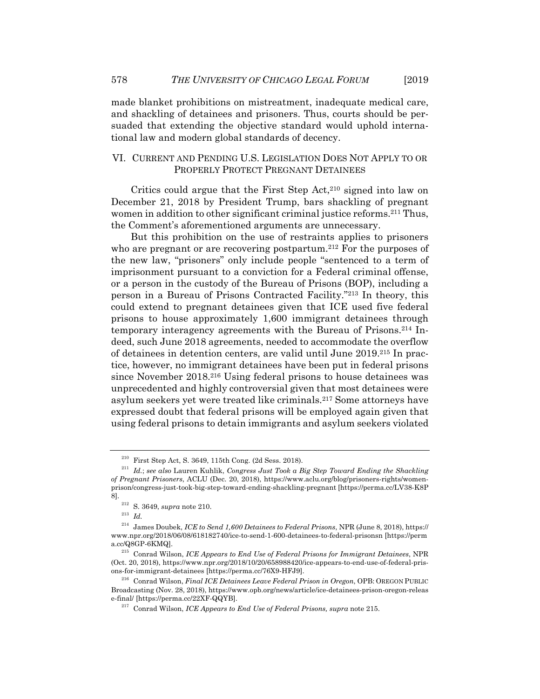made blanket prohibitions on mistreatment, inadequate medical care, and shackling of detainees and prisoners. Thus, courts should be persuaded that extending the objective standard would uphold international law and modern global standards of decency.

## VI. CURRENT AND PENDING U.S. LEGISLATION DOES NOT APPLY TO OR PROPERLY PROTECT PREGNANT DETAINEES

Critics could argue that the First Step Act, $2^{10}$  signed into law on December 21, 2018 by President Trump, bars shackling of pregnant women in addition to other significant criminal justice reforms.<sup>211</sup> Thus, the Comment's aforementioned arguments are unnecessary.

But this prohibition on the use of restraints applies to prisoners who are pregnant or are recovering postpartum.<sup>212</sup> For the purposes of the new law, "prisoners" only include people "sentenced to a term of imprisonment pursuant to a conviction for a Federal criminal offense, or a person in the custody of the Bureau of Prisons (BOP), including a person in a Bureau of Prisons Contracted Facility."213 In theory, this could extend to pregnant detainees given that ICE used five federal prisons to house approximately 1,600 immigrant detainees through temporary interagency agreements with the Bureau of Prisons.214 Indeed, such June 2018 agreements, needed to accommodate the overflow of detainees in detention centers, are valid until June 2019.215 In practice, however, no immigrant detainees have been put in federal prisons since November 2018.216 Using federal prisons to house detainees was unprecedented and highly controversial given that most detainees were asylum seekers yet were treated like criminals.217 Some attorneys have expressed doubt that federal prisons will be employed again given that using federal prisons to detain immigrants and asylum seekers violated

<sup>210</sup> First Step Act, S. 3649, 115th Cong. (2d Sess. 2018). 211 *Id.*; *see also* Lauren Kuhlik, *Congress Just Took a Big Step Toward Ending the Shackling of Pregnant Prisoners*, ACLU (Dec. 20, 2018), https://www.aclu.org/blog/prisoners-rights/womenprison/congress-just-took-big-step-toward-ending-shackling-pregnant [https://perma.cc/LV38-K8P

<sup>8]. 212</sup> S. 3649, *supra* note 210. 213 *Id.*

<sup>214</sup> James Doubek, *ICE to Send 1,600 Detainees to Federal Prisons*, NPR (June 8, 2018), https:// www.npr.org/2018/06/08/618182740/ice-to-send-1-600-detainees-to-federal-prisonsn [https://perm

 $^{215}$  Conrad Wilson, *ICE Appears to End Use of Federal Prisons for Immigrant Detainees*, NPR (Oct. 20, 2018), https://www.npr.org/2018/10/20/658988420/ice-appears-to-end-use-of-federal-prisons-for-immigrant-detainees [https://perma.cc/76X9-HFJ9]. 216 Conrad Wilson, *Final ICE Detainees Leave Federal Prison in Oregon*, OPB: OREGON PUBLIC

Broadcasting (Nov. 28, 2018), https://www.opb.org/news/article/ice-detainees-prison-oregon-releas e-final/ [https://perma.cc/22XF-QQYB]. 217 Conrad Wilson, *ICE Appears to End Use of Federal Prisons, supra* note 215.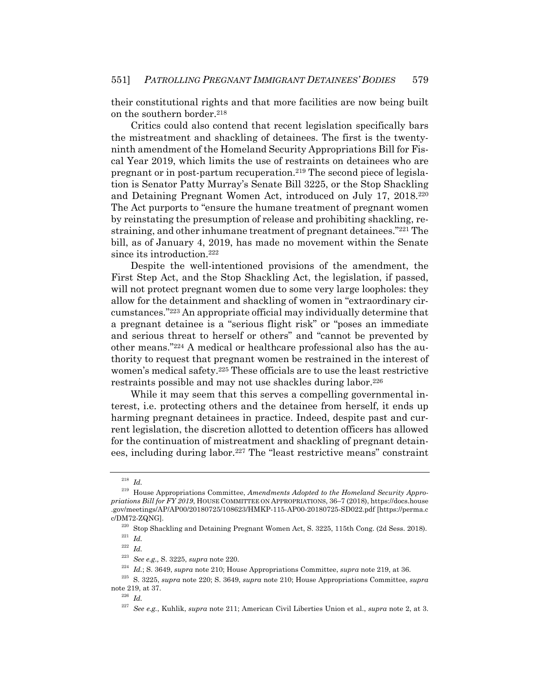their constitutional rights and that more facilities are now being built on the southern border.<sup>218</sup>

Critics could also contend that recent legislation specifically bars the mistreatment and shackling of detainees. The first is the twentyninth amendment of the Homeland Security Appropriations Bill for Fiscal Year 2019, which limits the use of restraints on detainees who are pregnant or in post-partum recuperation.219 The second piece of legislation is Senator Patty Murray's Senate Bill 3225, or the Stop Shackling and Detaining Pregnant Women Act, introduced on July 17, 2018.220 The Act purports to "ensure the humane treatment of pregnant women by reinstating the presumption of release and prohibiting shackling, restraining, and other inhumane treatment of pregnant detainees."221 The bill, as of January 4, 2019, has made no movement within the Senate since its introduction.<sup>222</sup>

Despite the well-intentioned provisions of the amendment, the First Step Act, and the Stop Shackling Act, the legislation, if passed, will not protect pregnant women due to some very large loopholes: they allow for the detainment and shackling of women in "extraordinary circumstances."223 An appropriate official may individually determine that a pregnant detainee is a "serious flight risk" or "poses an immediate and serious threat to herself or others" and "cannot be prevented by other means."224 A medical or healthcare professional also has the authority to request that pregnant women be restrained in the interest of women's medical safety.225 These officials are to use the least restrictive restraints possible and may not use shackles during labor.<sup>226</sup>

While it may seem that this serves a compelling governmental interest, i.e. protecting others and the detainee from herself, it ends up harming pregnant detainees in practice. Indeed, despite past and current legislation, the discretion allotted to detention officers has allowed for the continuation of mistreatment and shackling of pregnant detainees, including during labor.227 The "least restrictive means" constraint

<sup>218</sup> *Id.*

<sup>219</sup> House Appropriations Committee, *Amendments Adopted to the Homeland Security Appropriations Bill for FY 2019*, HOUSE COMMITTEE ON APPROPRIATIONS, 36–7 (2018), https://docs.house .gov/meetings/AP/AP00/20180725/108623/HMKP-115-AP00-20180725-SD022.pdf [https://perma.c

c/DM72-ZQNG]. 220 Stop Shackling and Detaining Pregnant Women Act, S. 3225, 115th Cong. (2d Sess. 2018). 221 *Id.*

<sup>222</sup> *Id.*

<sup>&</sup>lt;sup>223</sup> See e.g., S. 3225, supra note 220.<br><sup>224</sup> Id.; S. 3649, supra note 210; House Appropriations Committee, supra note 219, at 36.<br><sup>225</sup> S. 3225, supra note 220; S. 3649, supra note 210; House Appropriations Committee, s note 219, at 37. 226 *Id.*

<sup>227</sup> *See e.g.*, Kuhlik, *supra* note 211; American Civil Liberties Union et al., *supra* note 2, at 3.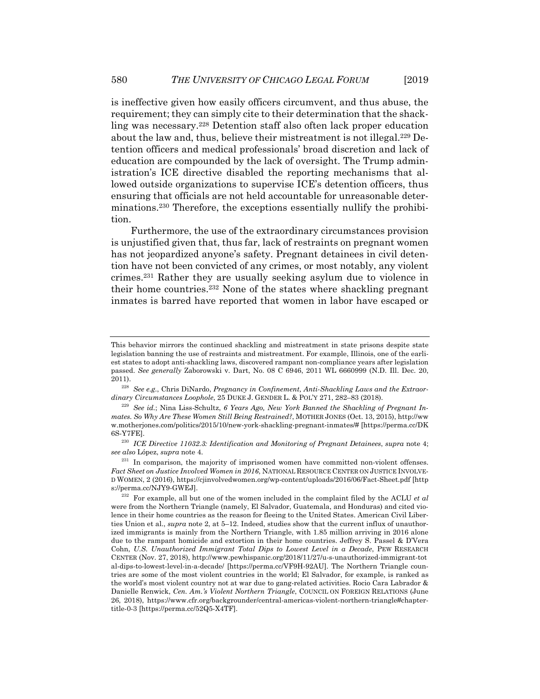is ineffective given how easily officers circumvent, and thus abuse, the requirement; they can simply cite to their determination that the shackling was necessary.228 Detention staff also often lack proper education about the law and, thus, believe their mistreatment is not illegal.229 Detention officers and medical professionals' broad discretion and lack of education are compounded by the lack of oversight. The Trump administration's ICE directive disabled the reporting mechanisms that allowed outside organizations to supervise ICE's detention officers, thus ensuring that officials are not held accountable for unreasonable determinations.230 Therefore, the exceptions essentially nullify the prohibition.

Furthermore, the use of the extraordinary circumstances provision is unjustified given that, thus far, lack of restraints on pregnant women has not jeopardized anyone's safety. Pregnant detainees in civil detention have not been convicted of any crimes, or most notably, any violent crimes.231 Rather they are usually seeking asylum due to violence in their home countries.232 None of the states where shackling pregnant inmates is barred have reported that women in labor have escaped or

This behavior mirrors the continued shackling and mistreatment in state prisons despite state legislation banning the use of restraints and mistreatment. For example, Illinois, one of the earliest states to adopt anti-shackling laws, discovered rampant non-compliance years after legislation passed. *See generally* Zaborowski v. Dart, No. 08 C 6946, 2011 WL 6660999 (N.D. Ill. Dec. 20, 2011). 228 *See e.g.*, Chris DiNardo, *Pregnancy in Confinement, Anti-Shackling Laws and the Extraor-*

dinary Circumstances Loophole, 25 DUKE J. GENDER L. & POL'Y 271, 282–83 (2018).<br><sup>229</sup> See id.; Nina Liss-Schultz, *6 Years Ago, New York Banned the Shackling of Pregnant In-*

*mates. So Why Are These Women Still Being Restrained?*, MOTHER JONES (Oct. 13, 2015), http://ww w.motherjones.com/politics/2015/10/new-york-shackling-pregnant-inmates/# [https://perma.cc/DK 6S-Y7FE]. 230 *ICE Directive 11032.3: Identification and Monitoring of Pregnant Detainees*, *supra* note 4;

*see also* López, *supra* note 4. 231 In comparison, the majority of imprisoned women have committed non-violent offenses. *Fact Sheet on Justice Involved Women in 2016*, NATIONAL RESOURCE CENTER ON JUSTICE INVOLVE-D WOMEN, 2 (2016), https://cjinvolvedwomen.org/wp-content/uploads/2016/06/Fact-Sheet.pdf [http s://perma.cc/NJY9-GWEJ]. 232 For example, all but one of the women included in the complaint filed by the ACLU *et al*

were from the Northern Triangle (namely, El Salvador, Guatemala, and Honduras) and cited violence in their home countries as the reason for fleeing to the United States. American Civil Liberties Union et al., *supra* note 2, at 5–12. Indeed, studies show that the current influx of unauthorized immigrants is mainly from the Northern Triangle, with 1.85 million arriving in 2016 alone due to the rampant homicide and extortion in their home countries. Jeffrey S. Passel & D'Vera Cohn, *U.S. Unauthorized Immigrant Total Dips to Lowest Level in a Decade*, PEW RESEARCH CENTER (Nov. 27, 2018), http://www.pewhispanic.org/2018/11/27/u-s-unauthorized-immigrant-tot al-dips-to-lowest-level-in-a-decade/ [https://perma.cc/VF9H-92AU]. The Northern Triangle countries are some of the most violent countries in the world; El Salvador, for example, is ranked as the world's most violent country not at war due to gang-related activities. Rocio Cara Labrador & Danielle Renwick, *Cen. Am.'s Violent Northern Triangle*, COUNCIL ON FOREIGN RELATIONS (June 26, 2018), https://www.cfr.org/backgrounder/central-americas-violent-northern-triangle#chaptertitle-0-3 [https://perma.cc/52Q5-X4TF].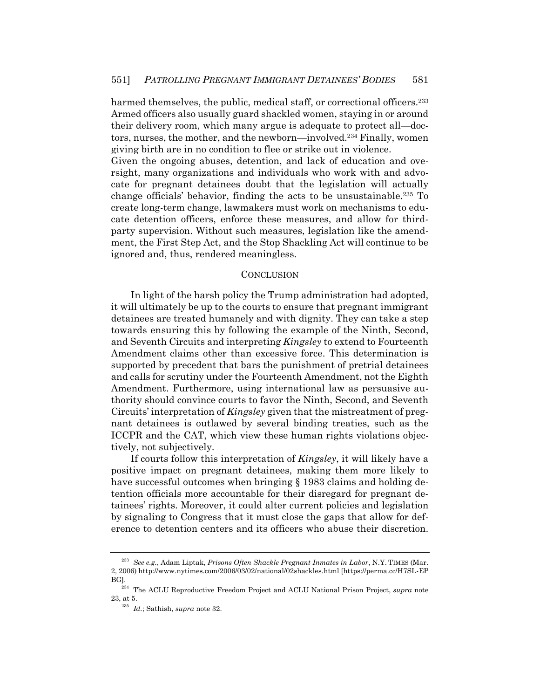harmed themselves, the public, medical staff, or correctional officers.<sup>233</sup> Armed officers also usually guard shackled women, staying in or around their delivery room, which many argue is adequate to protect all—doctors, nurses, the mother, and the newborn—involved.234 Finally, women giving birth are in no condition to flee or strike out in violence.

Given the ongoing abuses, detention, and lack of education and oversight, many organizations and individuals who work with and advocate for pregnant detainees doubt that the legislation will actually change officials' behavior, finding the acts to be unsustainable.235 To create long-term change, lawmakers must work on mechanisms to educate detention officers, enforce these measures, and allow for thirdparty supervision. Without such measures, legislation like the amendment, the First Step Act, and the Stop Shackling Act will continue to be ignored and, thus, rendered meaningless.

#### **CONCLUSION**

In light of the harsh policy the Trump administration had adopted, it will ultimately be up to the courts to ensure that pregnant immigrant detainees are treated humanely and with dignity. They can take a step towards ensuring this by following the example of the Ninth, Second, and Seventh Circuits and interpreting *Kingsley* to extend to Fourteenth Amendment claims other than excessive force. This determination is supported by precedent that bars the punishment of pretrial detainees and calls for scrutiny under the Fourteenth Amendment, not the Eighth Amendment. Furthermore, using international law as persuasive authority should convince courts to favor the Ninth, Second, and Seventh Circuits' interpretation of *Kingsley* given that the mistreatment of pregnant detainees is outlawed by several binding treaties, such as the ICCPR and the CAT, which view these human rights violations objectively, not subjectively.

If courts follow this interpretation of *Kingsley*, it will likely have a positive impact on pregnant detainees, making them more likely to have successful outcomes when bringing § 1983 claims and holding detention officials more accountable for their disregard for pregnant detainees' rights. Moreover, it could alter current policies and legislation by signaling to Congress that it must close the gaps that allow for deference to detention centers and its officers who abuse their discretion.

<sup>233</sup> *See e.g.*, Adam Liptak, *Prisons Often Shackle Pregnant Inmates in Labor*, N.Y. TIMES (Mar. 2, 2006) http://www.nytimes.com/2006/03/02/national/02shackles.html [https://perma.cc/H7SL-EP

BG]. 234 The ACLU Reproductive Freedom Project and ACLU National Prison Project, *supra* note 23, at 5. 235 *Id.*; Sathish, *supra* note 32.